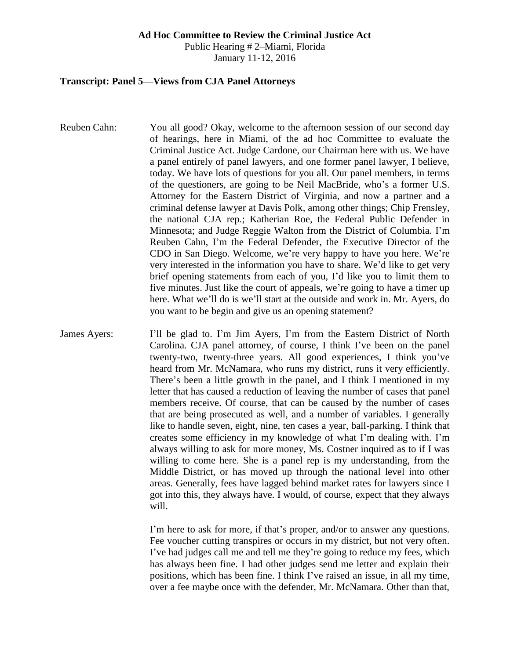#### **Ad Hoc Committee to Review the Criminal Justice Act**

Public Hearing # 2–Miami, Florida January 11-12, 2016

### **Transcript: Panel 5—Views from CJA Panel Attorneys**

- Reuben Cahn: You all good? Okay, welcome to the afternoon session of our second day of hearings, here in Miami, of the ad hoc Committee to evaluate the Criminal Justice Act. Judge Cardone, our Chairman here with us. We have a panel entirely of panel lawyers, and one former panel lawyer, I believe, today. We have lots of questions for you all. Our panel members, in terms of the questioners, are going to be Neil MacBride, who's a former U.S. Attorney for the Eastern District of Virginia, and now a partner and a criminal defense lawyer at Davis Polk, among other things; Chip Frensley, the national CJA rep.; Katherian Roe, the Federal Public Defender in Minnesota; and Judge Reggie Walton from the District of Columbia. I'm Reuben Cahn, I'm the Federal Defender, the Executive Director of the CDO in San Diego. Welcome, we're very happy to have you here. We're very interested in the information you have to share. We'd like to get very brief opening statements from each of you, I'd like you to limit them to five minutes. Just like the court of appeals, we're going to have a timer up here. What we'll do is we'll start at the outside and work in. Mr. Ayers, do you want to be begin and give us an opening statement?
- James Ayers: I'll be glad to. I'm Jim Ayers, I'm from the Eastern District of North Carolina. CJA panel attorney, of course, I think I've been on the panel twenty-two, twenty-three years. All good experiences, I think you've heard from Mr. McNamara, who runs my district, runs it very efficiently. There's been a little growth in the panel, and I think I mentioned in my letter that has caused a reduction of leaving the number of cases that panel members receive. Of course, that can be caused by the number of cases that are being prosecuted as well, and a number of variables. I generally like to handle seven, eight, nine, ten cases a year, ball-parking. I think that creates some efficiency in my knowledge of what I'm dealing with. I'm always willing to ask for more money, Ms. Costner inquired as to if I was willing to come here. She is a panel rep is my understanding, from the Middle District, or has moved up through the national level into other areas. Generally, fees have lagged behind market rates for lawyers since I got into this, they always have. I would, of course, expect that they always will.

I'm here to ask for more, if that's proper, and/or to answer any questions. Fee voucher cutting transpires or occurs in my district, but not very often. I've had judges call me and tell me they're going to reduce my fees, which has always been fine. I had other judges send me letter and explain their positions, which has been fine. I think I've raised an issue, in all my time, over a fee maybe once with the defender, Mr. McNamara. Other than that,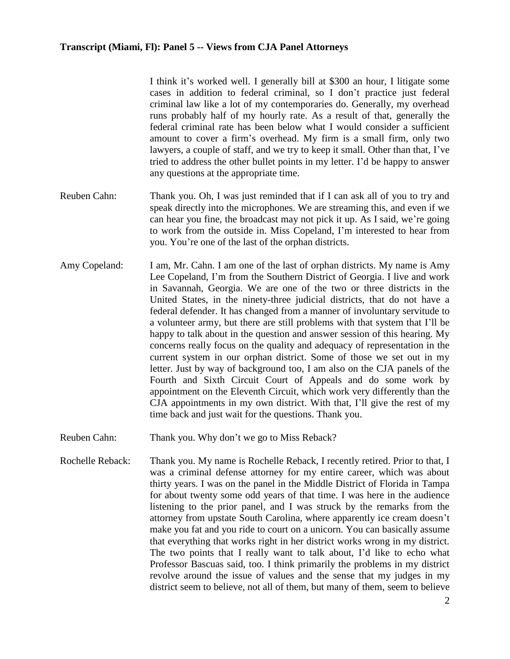I think it's worked well. I generally bill at \$300 an hour, I litigate some cases in addition to federal criminal, so I don't practice just federal criminal law like a lot of my contemporaries do. Generally, my overhead runs probably half of my hourly rate. As a result of that, generally the federal criminal rate has been below what I would consider a sufficient amount to cover a firm's overhead. My firm is a small firm, only two lawyers, a couple of staff, and we try to keep it small. Other than that, I've tried to address the other bullet points in my letter. I'd be happy to answer any questions at the appropriate time.

- Reuben Cahn: Thank you. Oh, I was just reminded that if I can ask all of you to try and speak directly into the microphones. We are streaming this, and even if we can hear you fine, the broadcast may not pick it up. As I said, we're going to work from the outside in. Miss Copeland, I'm interested to hear from you. You're one of the last of the orphan districts.
- Amy Copeland: I am, Mr. Cahn. I am one of the last of orphan districts. My name is Amy Lee Copeland, I'm from the Southern District of Georgia. I live and work in Savannah, Georgia. We are one of the two or three districts in the United States, in the ninety-three judicial districts, that do not have a federal defender. It has changed from a manner of involuntary servitude to a volunteer army, but there are still problems with that system that I'll be happy to talk about in the question and answer session of this hearing. My concerns really focus on the quality and adequacy of representation in the current system in our orphan district. Some of those we set out in my letter. Just by way of background too, I am also on the CJA panels of the Fourth and Sixth Circuit Court of Appeals and do some work by appointment on the Eleventh Circuit, which work very differently than the CJA appointments in my own district. With that, I'll give the rest of my time back and just wait for the questions. Thank you.
- Reuben Cahn: Thank you. Why don't we go to Miss Reback?
- Rochelle Reback: Thank you. My name is Rochelle Reback, I recently retired. Prior to that, I was a criminal defense attorney for my entire career, which was about thirty years. I was on the panel in the Middle District of Florida in Tampa for about twenty some odd years of that time. I was here in the audience listening to the prior panel, and I was struck by the remarks from the attorney from upstate South Carolina, where apparently ice cream doesn't make you fat and you ride to court on a unicorn. You can basically assume that everything that works right in her district works wrong in my district. The two points that I really want to talk about, I'd like to echo what Professor Bascuas said, too. I think primarily the problems in my district revolve around the issue of values and the sense that my judges in my district seem to believe, not all of them, but many of them, seem to believe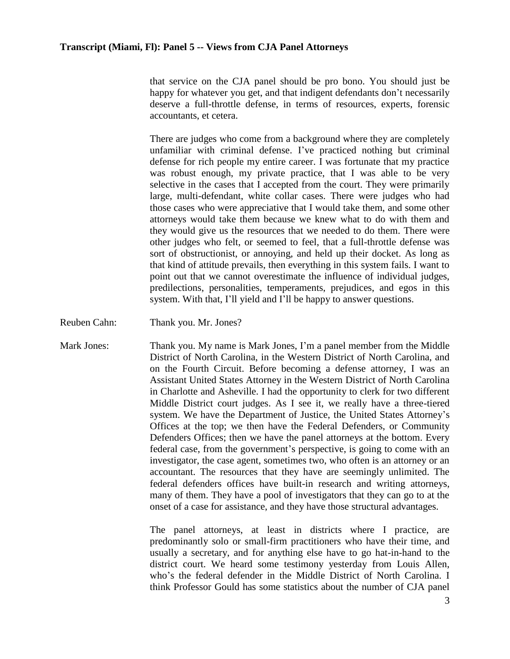that service on the CJA panel should be pro bono. You should just be happy for whatever you get, and that indigent defendants don't necessarily deserve a full-throttle defense, in terms of resources, experts, forensic accountants, et cetera.

There are judges who come from a background where they are completely unfamiliar with criminal defense. I've practiced nothing but criminal defense for rich people my entire career. I was fortunate that my practice was robust enough, my private practice, that I was able to be very selective in the cases that I accepted from the court. They were primarily large, multi-defendant, white collar cases. There were judges who had those cases who were appreciative that I would take them, and some other attorneys would take them because we knew what to do with them and they would give us the resources that we needed to do them. There were other judges who felt, or seemed to feel, that a full-throttle defense was sort of obstructionist, or annoying, and held up their docket. As long as that kind of attitude prevails, then everything in this system fails. I want to point out that we cannot overestimate the influence of individual judges, predilections, personalities, temperaments, prejudices, and egos in this system. With that, I'll yield and I'll be happy to answer questions.

Reuben Cahn: Thank you. Mr. Jones?

Mark Jones: Thank you. My name is Mark Jones, I'm a panel member from the Middle District of North Carolina, in the Western District of North Carolina, and on the Fourth Circuit. Before becoming a defense attorney, I was an Assistant United States Attorney in the Western District of North Carolina in Charlotte and Asheville. I had the opportunity to clerk for two different Middle District court judges. As I see it, we really have a three-tiered system. We have the Department of Justice, the United States Attorney's Offices at the top; we then have the Federal Defenders, or Community Defenders Offices; then we have the panel attorneys at the bottom. Every federal case, from the government's perspective, is going to come with an investigator, the case agent, sometimes two, who often is an attorney or an accountant. The resources that they have are seemingly unlimited. The federal defenders offices have built-in research and writing attorneys, many of them. They have a pool of investigators that they can go to at the onset of a case for assistance, and they have those structural advantages.

> The panel attorneys, at least in districts where I practice, are predominantly solo or small-firm practitioners who have their time, and usually a secretary, and for anything else have to go hat-in-hand to the district court. We heard some testimony yesterday from Louis Allen, who's the federal defender in the Middle District of North Carolina. I think Professor Gould has some statistics about the number of CJA panel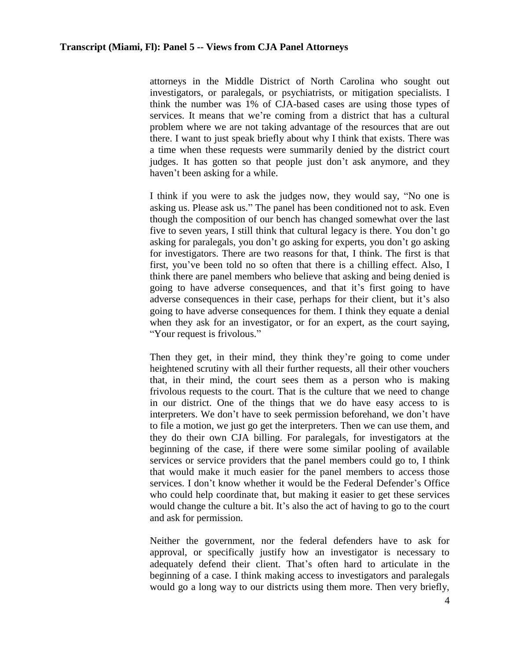attorneys in the Middle District of North Carolina who sought out investigators, or paralegals, or psychiatrists, or mitigation specialists. I think the number was 1% of CJA-based cases are using those types of services. It means that we're coming from a district that has a cultural problem where we are not taking advantage of the resources that are out there. I want to just speak briefly about why I think that exists. There was a time when these requests were summarily denied by the district court judges. It has gotten so that people just don't ask anymore, and they haven't been asking for a while.

I think if you were to ask the judges now, they would say, "No one is asking us. Please ask us." The panel has been conditioned not to ask. Even though the composition of our bench has changed somewhat over the last five to seven years, I still think that cultural legacy is there. You don't go asking for paralegals, you don't go asking for experts, you don't go asking for investigators. There are two reasons for that, I think. The first is that first, you've been told no so often that there is a chilling effect. Also, I think there are panel members who believe that asking and being denied is going to have adverse consequences, and that it's first going to have adverse consequences in their case, perhaps for their client, but it's also going to have adverse consequences for them. I think they equate a denial when they ask for an investigator, or for an expert, as the court saying, "Your request is frivolous."

Then they get, in their mind, they think they're going to come under heightened scrutiny with all their further requests, all their other vouchers that, in their mind, the court sees them as a person who is making frivolous requests to the court. That is the culture that we need to change in our district. One of the things that we do have easy access to is interpreters. We don't have to seek permission beforehand, we don't have to file a motion, we just go get the interpreters. Then we can use them, and they do their own CJA billing. For paralegals, for investigators at the beginning of the case, if there were some similar pooling of available services or service providers that the panel members could go to, I think that would make it much easier for the panel members to access those services. I don't know whether it would be the Federal Defender's Office who could help coordinate that, but making it easier to get these services would change the culture a bit. It's also the act of having to go to the court and ask for permission.

Neither the government, nor the federal defenders have to ask for approval, or specifically justify how an investigator is necessary to adequately defend their client. That's often hard to articulate in the beginning of a case. I think making access to investigators and paralegals would go a long way to our districts using them more. Then very briefly,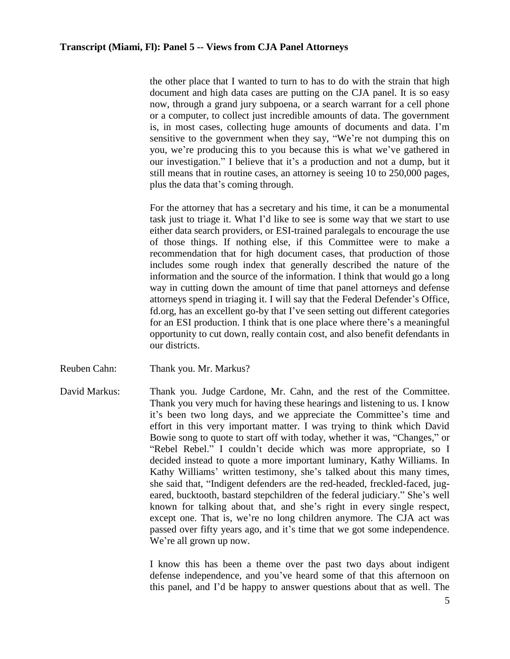the other place that I wanted to turn to has to do with the strain that high document and high data cases are putting on the CJA panel. It is so easy now, through a grand jury subpoena, or a search warrant for a cell phone or a computer, to collect just incredible amounts of data. The government is, in most cases, collecting huge amounts of documents and data. I'm sensitive to the government when they say, "We're not dumping this on you, we're producing this to you because this is what we've gathered in our investigation." I believe that it's a production and not a dump, but it still means that in routine cases, an attorney is seeing 10 to 250,000 pages, plus the data that's coming through.

For the attorney that has a secretary and his time, it can be a monumental task just to triage it. What I'd like to see is some way that we start to use either data search providers, or ESI-trained paralegals to encourage the use of those things. If nothing else, if this Committee were to make a recommendation that for high document cases, that production of those includes some rough index that generally described the nature of the information and the source of the information. I think that would go a long way in cutting down the amount of time that panel attorneys and defense attorneys spend in triaging it. I will say that the Federal Defender's Office, fd.org, has an excellent go-by that I've seen setting out different categories for an ESI production. I think that is one place where there's a meaningful opportunity to cut down, really contain cost, and also benefit defendants in our districts.

- Reuben Cahn: Thank you. Mr. Markus?
- David Markus: Thank you. Judge Cardone, Mr. Cahn, and the rest of the Committee. Thank you very much for having these hearings and listening to us. I know it's been two long days, and we appreciate the Committee's time and effort in this very important matter. I was trying to think which David Bowie song to quote to start off with today, whether it was, "Changes," or "Rebel Rebel." I couldn't decide which was more appropriate, so I decided instead to quote a more important luminary, Kathy Williams. In Kathy Williams' written testimony, she's talked about this many times, she said that, "Indigent defenders are the red-headed, freckled-faced, jugeared, bucktooth, bastard stepchildren of the federal judiciary." She's well known for talking about that, and she's right in every single respect, except one. That is, we're no long children anymore. The CJA act was passed over fifty years ago, and it's time that we got some independence. We're all grown up now.

I know this has been a theme over the past two days about indigent defense independence, and you've heard some of that this afternoon on this panel, and I'd be happy to answer questions about that as well. The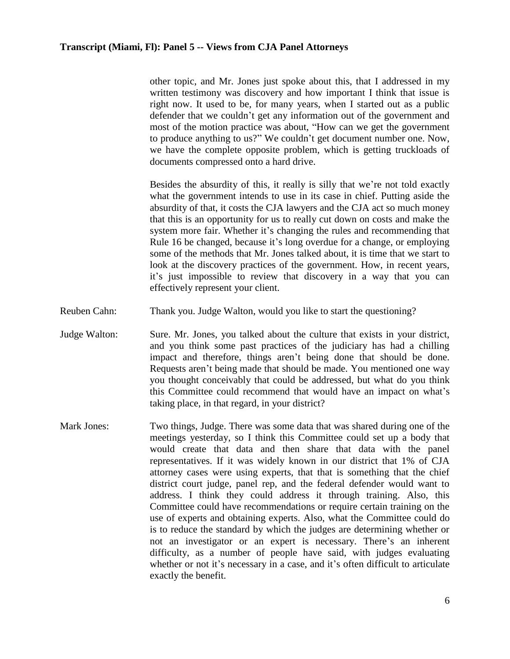other topic, and Mr. Jones just spoke about this, that I addressed in my written testimony was discovery and how important I think that issue is right now. It used to be, for many years, when I started out as a public defender that we couldn't get any information out of the government and most of the motion practice was about, "How can we get the government to produce anything to us?" We couldn't get document number one. Now, we have the complete opposite problem, which is getting truckloads of documents compressed onto a hard drive.

Besides the absurdity of this, it really is silly that we're not told exactly what the government intends to use in its case in chief. Putting aside the absurdity of that, it costs the CJA lawyers and the CJA act so much money that this is an opportunity for us to really cut down on costs and make the system more fair. Whether it's changing the rules and recommending that Rule 16 be changed, because it's long overdue for a change, or employing some of the methods that Mr. Jones talked about, it is time that we start to look at the discovery practices of the government. How, in recent years, it's just impossible to review that discovery in a way that you can effectively represent your client.

- Reuben Cahn: Thank you. Judge Walton, would you like to start the questioning?
- Judge Walton: Sure. Mr. Jones, you talked about the culture that exists in your district, and you think some past practices of the judiciary has had a chilling impact and therefore, things aren't being done that should be done. Requests aren't being made that should be made. You mentioned one way you thought conceivably that could be addressed, but what do you think this Committee could recommend that would have an impact on what's taking place, in that regard, in your district?
- Mark Jones: Two things, Judge. There was some data that was shared during one of the meetings yesterday, so I think this Committee could set up a body that would create that data and then share that data with the panel representatives. If it was widely known in our district that 1% of CJA attorney cases were using experts, that that is something that the chief district court judge, panel rep, and the federal defender would want to address. I think they could address it through training. Also, this Committee could have recommendations or require certain training on the use of experts and obtaining experts. Also, what the Committee could do is to reduce the standard by which the judges are determining whether or not an investigator or an expert is necessary. There's an inherent difficulty, as a number of people have said, with judges evaluating whether or not it's necessary in a case, and it's often difficult to articulate exactly the benefit.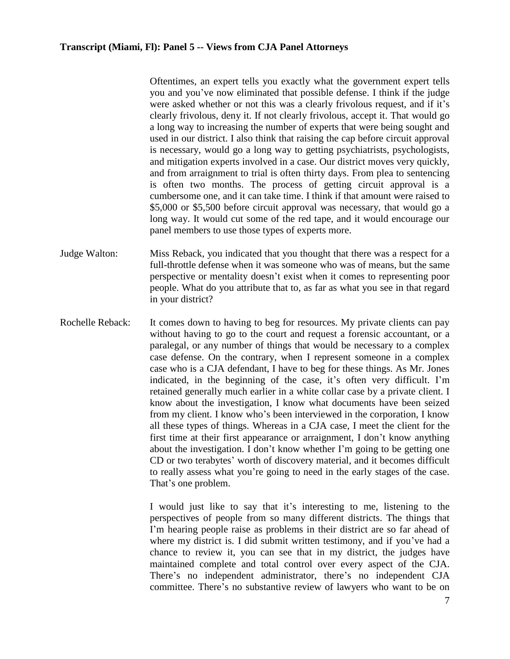Oftentimes, an expert tells you exactly what the government expert tells you and you've now eliminated that possible defense. I think if the judge were asked whether or not this was a clearly frivolous request, and if it's clearly frivolous, deny it. If not clearly frivolous, accept it. That would go a long way to increasing the number of experts that were being sought and used in our district. I also think that raising the cap before circuit approval is necessary, would go a long way to getting psychiatrists, psychologists, and mitigation experts involved in a case. Our district moves very quickly, and from arraignment to trial is often thirty days. From plea to sentencing is often two months. The process of getting circuit approval is a cumbersome one, and it can take time. I think if that amount were raised to \$5,000 or \$5,500 before circuit approval was necessary, that would go a long way. It would cut some of the red tape, and it would encourage our panel members to use those types of experts more.

- Judge Walton: Miss Reback, you indicated that you thought that there was a respect for a full-throttle defense when it was someone who was of means, but the same perspective or mentality doesn't exist when it comes to representing poor people. What do you attribute that to, as far as what you see in that regard in your district?
- Rochelle Reback: It comes down to having to beg for resources. My private clients can pay without having to go to the court and request a forensic accountant, or a paralegal, or any number of things that would be necessary to a complex case defense. On the contrary, when I represent someone in a complex case who is a CJA defendant, I have to beg for these things. As Mr. Jones indicated, in the beginning of the case, it's often very difficult. I'm retained generally much earlier in a white collar case by a private client. I know about the investigation, I know what documents have been seized from my client. I know who's been interviewed in the corporation, I know all these types of things. Whereas in a CJA case, I meet the client for the first time at their first appearance or arraignment, I don't know anything about the investigation. I don't know whether I'm going to be getting one CD or two terabytes' worth of discovery material, and it becomes difficult to really assess what you're going to need in the early stages of the case. That's one problem.

I would just like to say that it's interesting to me, listening to the perspectives of people from so many different districts. The things that I'm hearing people raise as problems in their district are so far ahead of where my district is. I did submit written testimony, and if you've had a chance to review it, you can see that in my district, the judges have maintained complete and total control over every aspect of the CJA. There's no independent administrator, there's no independent CJA committee. There's no substantive review of lawyers who want to be on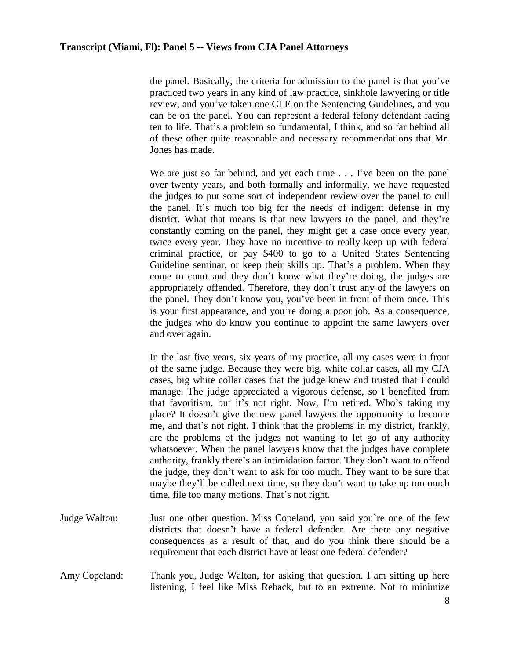the panel. Basically, the criteria for admission to the panel is that you've practiced two years in any kind of law practice, sinkhole lawyering or title review, and you've taken one CLE on the Sentencing Guidelines, and you can be on the panel. You can represent a federal felony defendant facing ten to life. That's a problem so fundamental, I think, and so far behind all of these other quite reasonable and necessary recommendations that Mr. Jones has made.

We are just so far behind, and yet each time . . . I've been on the panel over twenty years, and both formally and informally, we have requested the judges to put some sort of independent review over the panel to cull the panel. It's much too big for the needs of indigent defense in my district. What that means is that new lawyers to the panel, and they're constantly coming on the panel, they might get a case once every year, twice every year. They have no incentive to really keep up with federal criminal practice, or pay \$400 to go to a United States Sentencing Guideline seminar, or keep their skills up. That's a problem. When they come to court and they don't know what they're doing, the judges are appropriately offended. Therefore, they don't trust any of the lawyers on the panel. They don't know you, you've been in front of them once. This is your first appearance, and you're doing a poor job. As a consequence, the judges who do know you continue to appoint the same lawyers over and over again.

In the last five years, six years of my practice, all my cases were in front of the same judge. Because they were big, white collar cases, all my CJA cases, big white collar cases that the judge knew and trusted that I could manage. The judge appreciated a vigorous defense, so I benefited from that favoritism, but it's not right. Now, I'm retired. Who's taking my place? It doesn't give the new panel lawyers the opportunity to become me, and that's not right. I think that the problems in my district, frankly, are the problems of the judges not wanting to let go of any authority whatsoever. When the panel lawyers know that the judges have complete authority, frankly there's an intimidation factor. They don't want to offend the judge, they don't want to ask for too much. They want to be sure that maybe they'll be called next time, so they don't want to take up too much time, file too many motions. That's not right.

- Judge Walton: Just one other question. Miss Copeland, you said you're one of the few districts that doesn't have a federal defender. Are there any negative consequences as a result of that, and do you think there should be a requirement that each district have at least one federal defender?
- Amy Copeland: Thank you, Judge Walton, for asking that question. I am sitting up here listening, I feel like Miss Reback, but to an extreme. Not to minimize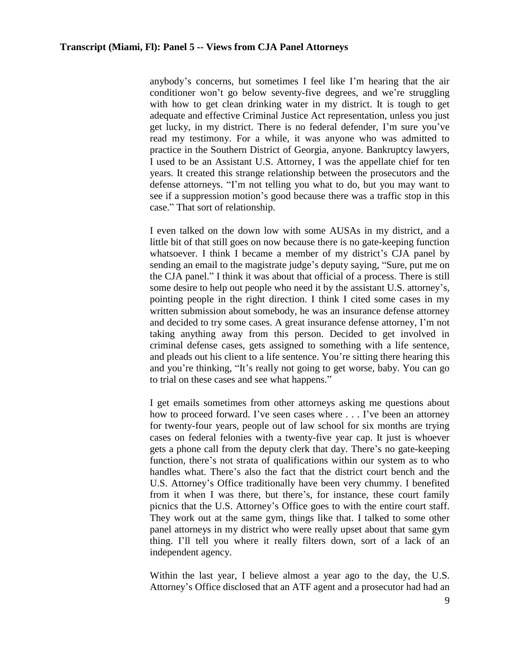anybody's concerns, but sometimes I feel like I'm hearing that the air conditioner won't go below seventy-five degrees, and we're struggling with how to get clean drinking water in my district. It is tough to get adequate and effective Criminal Justice Act representation, unless you just get lucky, in my district. There is no federal defender, I'm sure you've read my testimony. For a while, it was anyone who was admitted to practice in the Southern District of Georgia, anyone. Bankruptcy lawyers, I used to be an Assistant U.S. Attorney, I was the appellate chief for ten years. It created this strange relationship between the prosecutors and the defense attorneys. "I'm not telling you what to do, but you may want to see if a suppression motion's good because there was a traffic stop in this case." That sort of relationship.

I even talked on the down low with some AUSAs in my district, and a little bit of that still goes on now because there is no gate-keeping function whatsoever. I think I became a member of my district's CJA panel by sending an email to the magistrate judge's deputy saying, "Sure, put me on the CJA panel." I think it was about that official of a process. There is still some desire to help out people who need it by the assistant U.S. attorney's, pointing people in the right direction. I think I cited some cases in my written submission about somebody, he was an insurance defense attorney and decided to try some cases. A great insurance defense attorney, I'm not taking anything away from this person. Decided to get involved in criminal defense cases, gets assigned to something with a life sentence, and pleads out his client to a life sentence. You're sitting there hearing this and you're thinking, "It's really not going to get worse, baby. You can go to trial on these cases and see what happens."

I get emails sometimes from other attorneys asking me questions about how to proceed forward. I've seen cases where . . . I've been an attorney for twenty-four years, people out of law school for six months are trying cases on federal felonies with a twenty-five year cap. It just is whoever gets a phone call from the deputy clerk that day. There's no gate-keeping function, there's not strata of qualifications within our system as to who handles what. There's also the fact that the district court bench and the U.S. Attorney's Office traditionally have been very chummy. I benefited from it when I was there, but there's, for instance, these court family picnics that the U.S. Attorney's Office goes to with the entire court staff. They work out at the same gym, things like that. I talked to some other panel attorneys in my district who were really upset about that same gym thing. I'll tell you where it really filters down, sort of a lack of an independent agency.

Within the last year, I believe almost a year ago to the day, the U.S. Attorney's Office disclosed that an ATF agent and a prosecutor had had an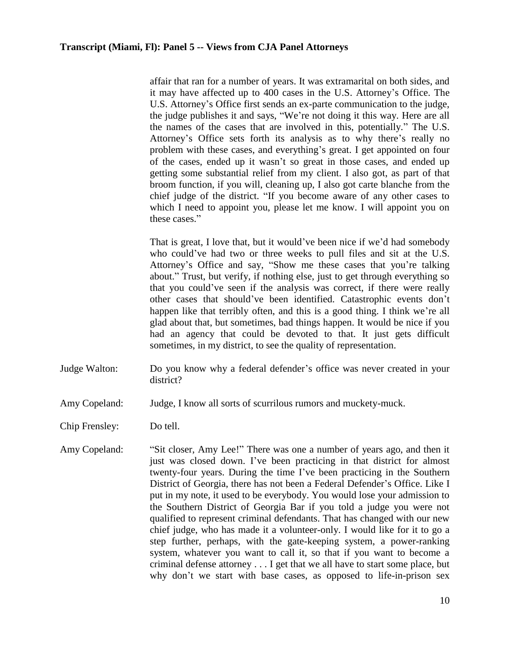affair that ran for a number of years. It was extramarital on both sides, and it may have affected up to 400 cases in the U.S. Attorney's Office. The U.S. Attorney's Office first sends an ex-parte communication to the judge, the judge publishes it and says, "We're not doing it this way. Here are all the names of the cases that are involved in this, potentially." The U.S. Attorney's Office sets forth its analysis as to why there's really no problem with these cases, and everything's great. I get appointed on four of the cases, ended up it wasn't so great in those cases, and ended up getting some substantial relief from my client. I also got, as part of that broom function, if you will, cleaning up, I also got carte blanche from the chief judge of the district. "If you become aware of any other cases to which I need to appoint you, please let me know. I will appoint you on these cases."

That is great, I love that, but it would've been nice if we'd had somebody who could've had two or three weeks to pull files and sit at the U.S. Attorney's Office and say, "Show me these cases that you're talking about." Trust, but verify, if nothing else, just to get through everything so that you could've seen if the analysis was correct, if there were really other cases that should've been identified. Catastrophic events don't happen like that terribly often, and this is a good thing. I think we're all glad about that, but sometimes, bad things happen. It would be nice if you had an agency that could be devoted to that. It just gets difficult sometimes, in my district, to see the quality of representation.

- Judge Walton: Do you know why a federal defender's office was never created in your district?
- Amy Copeland: Judge, I know all sorts of scurrilous rumors and muckety-muck.
- Chip Frensley: Do tell.
- Amy Copeland: "Sit closer, Amy Lee!" There was one a number of years ago, and then it just was closed down. I've been practicing in that district for almost twenty-four years. During the time I've been practicing in the Southern District of Georgia, there has not been a Federal Defender's Office. Like I put in my note, it used to be everybody. You would lose your admission to the Southern District of Georgia Bar if you told a judge you were not qualified to represent criminal defendants. That has changed with our new chief judge, who has made it a volunteer-only. I would like for it to go a step further, perhaps, with the gate-keeping system, a power-ranking system, whatever you want to call it, so that if you want to become a criminal defense attorney . . . I get that we all have to start some place, but why don't we start with base cases, as opposed to life-in-prison sex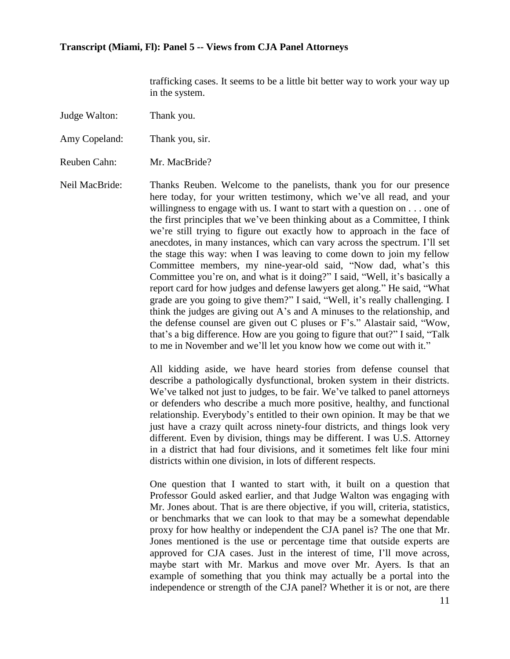trafficking cases. It seems to be a little bit better way to work your way up in the system.

Judge Walton: Thank you.

Amy Copeland: Thank you, sir.

Reuben Cahn: Mr. MacBride?

Neil MacBride: Thanks Reuben. Welcome to the panelists, thank you for our presence here today, for your written testimony, which we've all read, and your willingness to engage with us. I want to start with a question on . . . one of the first principles that we've been thinking about as a Committee, I think we're still trying to figure out exactly how to approach in the face of anecdotes, in many instances, which can vary across the spectrum. I'll set the stage this way: when I was leaving to come down to join my fellow Committee members, my nine-year-old said, "Now dad, what's this Committee you're on, and what is it doing?" I said, "Well, it's basically a report card for how judges and defense lawyers get along." He said, "What grade are you going to give them?" I said, "Well, it's really challenging. I think the judges are giving out A's and A minuses to the relationship, and the defense counsel are given out C pluses or F's." Alastair said, "Wow, that's a big difference. How are you going to figure that out?" I said, "Talk to me in November and we'll let you know how we come out with it."

> All kidding aside, we have heard stories from defense counsel that describe a pathologically dysfunctional, broken system in their districts. We've talked not just to judges, to be fair. We've talked to panel attorneys or defenders who describe a much more positive, healthy, and functional relationship. Everybody's entitled to their own opinion. It may be that we just have a crazy quilt across ninety-four districts, and things look very different. Even by division, things may be different. I was U.S. Attorney in a district that had four divisions, and it sometimes felt like four mini districts within one division, in lots of different respects.

> One question that I wanted to start with, it built on a question that Professor Gould asked earlier, and that Judge Walton was engaging with Mr. Jones about. That is are there objective, if you will, criteria, statistics, or benchmarks that we can look to that may be a somewhat dependable proxy for how healthy or independent the CJA panel is? The one that Mr. Jones mentioned is the use or percentage time that outside experts are approved for CJA cases. Just in the interest of time, I'll move across, maybe start with Mr. Markus and move over Mr. Ayers. Is that an example of something that you think may actually be a portal into the independence or strength of the CJA panel? Whether it is or not, are there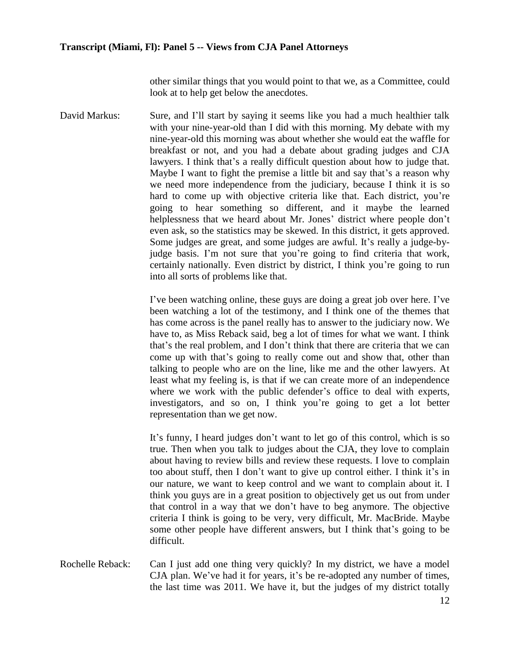other similar things that you would point to that we, as a Committee, could look at to help get below the anecdotes.

David Markus: Sure, and I'll start by saying it seems like you had a much healthier talk with your nine-year-old than I did with this morning. My debate with my nine-year-old this morning was about whether she would eat the waffle for breakfast or not, and you had a debate about grading judges and CJA lawyers. I think that's a really difficult question about how to judge that. Maybe I want to fight the premise a little bit and say that's a reason why we need more independence from the judiciary, because I think it is so hard to come up with objective criteria like that. Each district, you're going to hear something so different, and it maybe the learned helplessness that we heard about Mr. Jones' district where people don't even ask, so the statistics may be skewed. In this district, it gets approved. Some judges are great, and some judges are awful. It's really a judge-byjudge basis. I'm not sure that you're going to find criteria that work, certainly nationally. Even district by district, I think you're going to run into all sorts of problems like that.

> I've been watching online, these guys are doing a great job over here. I've been watching a lot of the testimony, and I think one of the themes that has come across is the panel really has to answer to the judiciary now. We have to, as Miss Reback said, beg a lot of times for what we want. I think that's the real problem, and I don't think that there are criteria that we can come up with that's going to really come out and show that, other than talking to people who are on the line, like me and the other lawyers. At least what my feeling is, is that if we can create more of an independence where we work with the public defender's office to deal with experts, investigators, and so on, I think you're going to get a lot better representation than we get now.

> It's funny, I heard judges don't want to let go of this control, which is so true. Then when you talk to judges about the CJA, they love to complain about having to review bills and review these requests. I love to complain too about stuff, then I don't want to give up control either. I think it's in our nature, we want to keep control and we want to complain about it. I think you guys are in a great position to objectively get us out from under that control in a way that we don't have to beg anymore. The objective criteria I think is going to be very, very difficult, Mr. MacBride. Maybe some other people have different answers, but I think that's going to be difficult.

Rochelle Reback: Can I just add one thing very quickly? In my district, we have a model CJA plan. We've had it for years, it's be re-adopted any number of times, the last time was 2011. We have it, but the judges of my district totally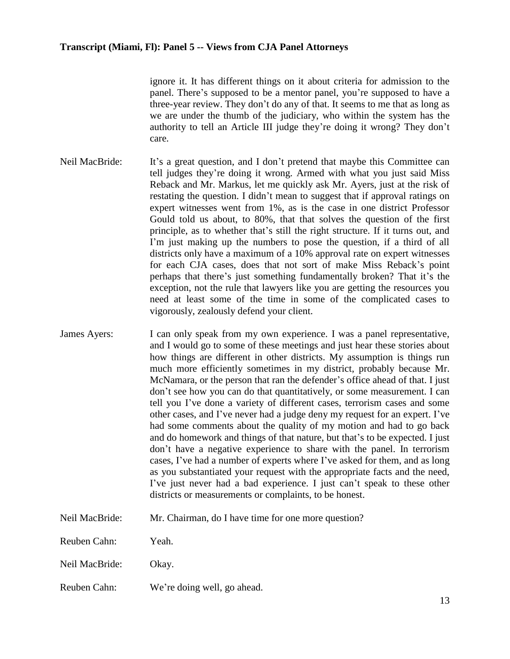ignore it. It has different things on it about criteria for admission to the panel. There's supposed to be a mentor panel, you're supposed to have a three-year review. They don't do any of that. It seems to me that as long as we are under the thumb of the judiciary, who within the system has the authority to tell an Article III judge they're doing it wrong? They don't care.

- Neil MacBride: It's a great question, and I don't pretend that maybe this Committee can tell judges they're doing it wrong. Armed with what you just said Miss Reback and Mr. Markus, let me quickly ask Mr. Ayers, just at the risk of restating the question. I didn't mean to suggest that if approval ratings on expert witnesses went from 1%, as is the case in one district Professor Gould told us about, to 80%, that that solves the question of the first principle, as to whether that's still the right structure. If it turns out, and I'm just making up the numbers to pose the question, if a third of all districts only have a maximum of a 10% approval rate on expert witnesses for each CJA cases, does that not sort of make Miss Reback's point perhaps that there's just something fundamentally broken? That it's the exception, not the rule that lawyers like you are getting the resources you need at least some of the time in some of the complicated cases to vigorously, zealously defend your client.
- James Ayers: I can only speak from my own experience. I was a panel representative, and I would go to some of these meetings and just hear these stories about how things are different in other districts. My assumption is things run much more efficiently sometimes in my district, probably because Mr. McNamara, or the person that ran the defender's office ahead of that. I just don't see how you can do that quantitatively, or some measurement. I can tell you I've done a variety of different cases, terrorism cases and some other cases, and I've never had a judge deny my request for an expert. I've had some comments about the quality of my motion and had to go back and do homework and things of that nature, but that's to be expected. I just don't have a negative experience to share with the panel. In terrorism cases, I've had a number of experts where I've asked for them, and as long as you substantiated your request with the appropriate facts and the need, I've just never had a bad experience. I just can't speak to these other districts or measurements or complaints, to be honest.
- Neil MacBride: Mr. Chairman, do I have time for one more question?
- Reuben Cahn: Yeah.
- Neil MacBride: Okay.
- Reuben Cahn: We're doing well, go ahead.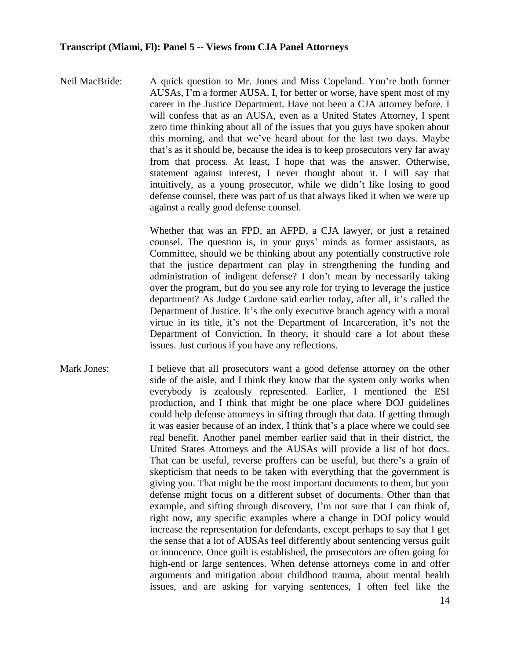Neil MacBride: A quick question to Mr. Jones and Miss Copeland. You're both former AUSAs, I'm a former AUSA. I, for better or worse, have spent most of my career in the Justice Department. Have not been a CJA attorney before. I will confess that as an AUSA, even as a United States Attorney, I spent zero time thinking about all of the issues that you guys have spoken about this morning, and that we've heard about for the last two days. Maybe that's as it should be, because the idea is to keep prosecutors very far away from that process. At least, I hope that was the answer. Otherwise, statement against interest, I never thought about it. I will say that intuitively, as a young prosecutor, while we didn't like losing to good defense counsel, there was part of us that always liked it when we were up against a really good defense counsel.

> Whether that was an FPD, an AFPD, a CJA lawyer, or just a retained counsel. The question is, in your guys' minds as former assistants, as Committee, should we be thinking about any potentially constructive role that the justice department can play in strengthening the funding and administration of indigent defense? I don't mean by necessarily taking over the program, but do you see any role for trying to leverage the justice department? As Judge Cardone said earlier today, after all, it's called the Department of Justice. It's the only executive branch agency with a moral virtue in its title, it's not the Department of Incarceration, it's not the Department of Conviction. In theory, it should care a lot about these issues. Just curious if you have any reflections.

Mark Jones: I believe that all prosecutors want a good defense attorney on the other side of the aisle, and I think they know that the system only works when everybody is zealously represented. Earlier, I mentioned the ESI production, and I think that might be one place where DOJ guidelines could help defense attorneys in sifting through that data. If getting through it was easier because of an index, I think that's a place where we could see real benefit. Another panel member earlier said that in their district, the United States Attorneys and the AUSAs will provide a list of hot docs. That can be useful, reverse proffers can be useful, but there's a grain of skepticism that needs to be taken with everything that the government is giving you. That might be the most important documents to them, but your defense might focus on a different subset of documents. Other than that example, and sifting through discovery, I'm not sure that I can think of, right now, any specific examples where a change in DOJ policy would increase the representation for defendants, except perhaps to say that I get the sense that a lot of AUSAs feel differently about sentencing versus guilt or innocence. Once guilt is established, the prosecutors are often going for high-end or large sentences. When defense attorneys come in and offer arguments and mitigation about childhood trauma, about mental health issues, and are asking for varying sentences, I often feel like the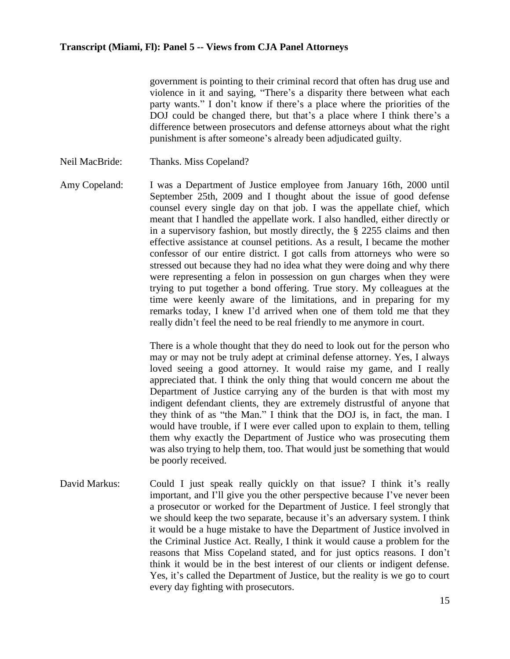government is pointing to their criminal record that often has drug use and violence in it and saying, "There's a disparity there between what each party wants." I don't know if there's a place where the priorities of the DOJ could be changed there, but that's a place where I think there's a difference between prosecutors and defense attorneys about what the right punishment is after someone's already been adjudicated guilty.

- Neil MacBride: Thanks. Miss Copeland?
- Amy Copeland: I was a Department of Justice employee from January 16th, 2000 until September 25th, 2009 and I thought about the issue of good defense counsel every single day on that job. I was the appellate chief, which meant that I handled the appellate work. I also handled, either directly or in a supervisory fashion, but mostly directly, the § 2255 claims and then effective assistance at counsel petitions. As a result, I became the mother confessor of our entire district. I got calls from attorneys who were so stressed out because they had no idea what they were doing and why there were representing a felon in possession on gun charges when they were trying to put together a bond offering. True story. My colleagues at the time were keenly aware of the limitations, and in preparing for my remarks today, I knew I'd arrived when one of them told me that they really didn't feel the need to be real friendly to me anymore in court.

There is a whole thought that they do need to look out for the person who may or may not be truly adept at criminal defense attorney. Yes, I always loved seeing a good attorney. It would raise my game, and I really appreciated that. I think the only thing that would concern me about the Department of Justice carrying any of the burden is that with most my indigent defendant clients, they are extremely distrustful of anyone that they think of as "the Man." I think that the DOJ is, in fact, the man. I would have trouble, if I were ever called upon to explain to them, telling them why exactly the Department of Justice who was prosecuting them was also trying to help them, too. That would just be something that would be poorly received.

David Markus: Could I just speak really quickly on that issue? I think it's really important, and I'll give you the other perspective because I've never been a prosecutor or worked for the Department of Justice. I feel strongly that we should keep the two separate, because it's an adversary system. I think it would be a huge mistake to have the Department of Justice involved in the Criminal Justice Act. Really, I think it would cause a problem for the reasons that Miss Copeland stated, and for just optics reasons. I don't think it would be in the best interest of our clients or indigent defense. Yes, it's called the Department of Justice, but the reality is we go to court every day fighting with prosecutors.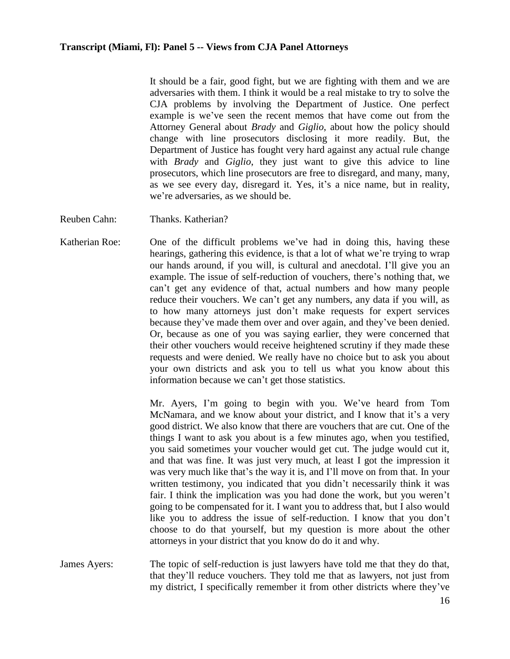It should be a fair, good fight, but we are fighting with them and we are adversaries with them. I think it would be a real mistake to try to solve the CJA problems by involving the Department of Justice. One perfect example is we've seen the recent memos that have come out from the Attorney General about *Brady* and *Giglio*, about how the policy should change with line prosecutors disclosing it more readily. But, the Department of Justice has fought very hard against any actual rule change with *Brady* and *Giglio*, they just want to give this advice to line prosecutors, which line prosecutors are free to disregard, and many, many, as we see every day, disregard it. Yes, it's a nice name, but in reality, we're adversaries, as we should be.

- Reuben Cahn: Thanks. Katherian?
- Katherian Roe: One of the difficult problems we've had in doing this, having these hearings, gathering this evidence, is that a lot of what we're trying to wrap our hands around, if you will, is cultural and anecdotal. I'll give you an example. The issue of self-reduction of vouchers, there's nothing that, we can't get any evidence of that, actual numbers and how many people reduce their vouchers. We can't get any numbers, any data if you will, as to how many attorneys just don't make requests for expert services because they've made them over and over again, and they've been denied. Or, because as one of you was saying earlier, they were concerned that their other vouchers would receive heightened scrutiny if they made these requests and were denied. We really have no choice but to ask you about your own districts and ask you to tell us what you know about this information because we can't get those statistics.

Mr. Ayers, I'm going to begin with you. We've heard from Tom McNamara, and we know about your district, and I know that it's a very good district. We also know that there are vouchers that are cut. One of the things I want to ask you about is a few minutes ago, when you testified, you said sometimes your voucher would get cut. The judge would cut it, and that was fine. It was just very much, at least I got the impression it was very much like that's the way it is, and I'll move on from that. In your written testimony, you indicated that you didn't necessarily think it was fair. I think the implication was you had done the work, but you weren't going to be compensated for it. I want you to address that, but I also would like you to address the issue of self-reduction. I know that you don't choose to do that yourself, but my question is more about the other attorneys in your district that you know do do it and why.

James Ayers: The topic of self-reduction is just lawyers have told me that they do that, that they'll reduce vouchers. They told me that as lawyers, not just from my district, I specifically remember it from other districts where they've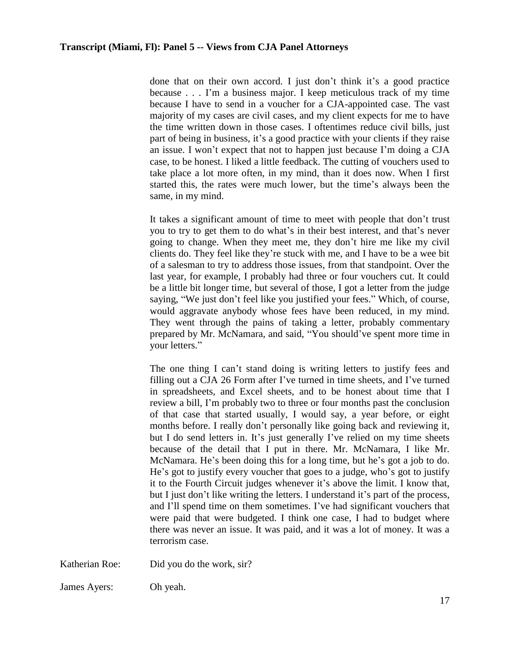done that on their own accord. I just don't think it's a good practice because . . . I'm a business major. I keep meticulous track of my time because I have to send in a voucher for a CJA-appointed case. The vast majority of my cases are civil cases, and my client expects for me to have the time written down in those cases. I oftentimes reduce civil bills, just part of being in business, it's a good practice with your clients if they raise an issue. I won't expect that not to happen just because I'm doing a CJA case, to be honest. I liked a little feedback. The cutting of vouchers used to take place a lot more often, in my mind, than it does now. When I first started this, the rates were much lower, but the time's always been the same, in my mind.

It takes a significant amount of time to meet with people that don't trust you to try to get them to do what's in their best interest, and that's never going to change. When they meet me, they don't hire me like my civil clients do. They feel like they're stuck with me, and I have to be a wee bit of a salesman to try to address those issues, from that standpoint. Over the last year, for example, I probably had three or four vouchers cut. It could be a little bit longer time, but several of those, I got a letter from the judge saying, "We just don't feel like you justified your fees." Which, of course, would aggravate anybody whose fees have been reduced, in my mind. They went through the pains of taking a letter, probably commentary prepared by Mr. McNamara, and said, "You should've spent more time in your letters."

The one thing I can't stand doing is writing letters to justify fees and filling out a CJA 26 Form after I've turned in time sheets, and I've turned in spreadsheets, and Excel sheets, and to be honest about time that I review a bill, I'm probably two to three or four months past the conclusion of that case that started usually, I would say, a year before, or eight months before. I really don't personally like going back and reviewing it, but I do send letters in. It's just generally I've relied on my time sheets because of the detail that I put in there. Mr. McNamara, I like Mr. McNamara. He's been doing this for a long time, but he's got a job to do. He's got to justify every voucher that goes to a judge, who's got to justify it to the Fourth Circuit judges whenever it's above the limit. I know that, but I just don't like writing the letters. I understand it's part of the process, and I'll spend time on them sometimes. I've had significant vouchers that were paid that were budgeted. I think one case, I had to budget where there was never an issue. It was paid, and it was a lot of money. It was a terrorism case.

Katherian Roe: Did you do the work, sir?

James Ayers: Oh yeah.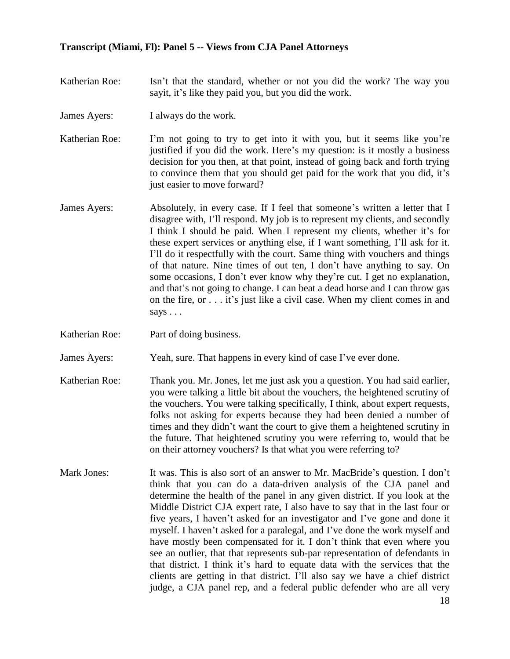- Katherian Roe: Isn't that the standard, whether or not you did the work? The way you sayit, it's like they paid you, but you did the work.
- James Ayers: I always do the work.

Katherian Roe: I'm not going to try to get into it with you, but it seems like you're justified if you did the work. Here's my question: is it mostly a business decision for you then, at that point, instead of going back and forth trying to convince them that you should get paid for the work that you did, it's just easier to move forward?

- James Ayers: Absolutely, in every case. If I feel that someone's written a letter that I disagree with, I'll respond. My job is to represent my clients, and secondly I think I should be paid. When I represent my clients, whether it's for these expert services or anything else, if I want something, I'll ask for it. I'll do it respectfully with the court. Same thing with vouchers and things of that nature. Nine times of out ten, I don't have anything to say. On some occasions, I don't ever know why they're cut. I get no explanation, and that's not going to change. I can beat a dead horse and I can throw gas on the fire, or . . . it's just like a civil case. When my client comes in and says . . .
- Katherian Roe: Part of doing business.

James Ayers: Yeah, sure. That happens in every kind of case I've ever done.

- Katherian Roe: Thank you. Mr. Jones, let me just ask you a question. You had said earlier, you were talking a little bit about the vouchers, the heightened scrutiny of the vouchers. You were talking specifically, I think, about expert requests, folks not asking for experts because they had been denied a number of times and they didn't want the court to give them a heightened scrutiny in the future. That heightened scrutiny you were referring to, would that be on their attorney vouchers? Is that what you were referring to?
- Mark Jones: It was. This is also sort of an answer to Mr. MacBride's question. I don't think that you can do a data-driven analysis of the CJA panel and determine the health of the panel in any given district. If you look at the Middle District CJA expert rate, I also have to say that in the last four or five years, I haven't asked for an investigator and I've gone and done it myself. I haven't asked for a paralegal, and I've done the work myself and have mostly been compensated for it. I don't think that even where you see an outlier, that that represents sub-par representation of defendants in that district. I think it's hard to equate data with the services that the clients are getting in that district. I'll also say we have a chief district judge, a CJA panel rep, and a federal public defender who are all very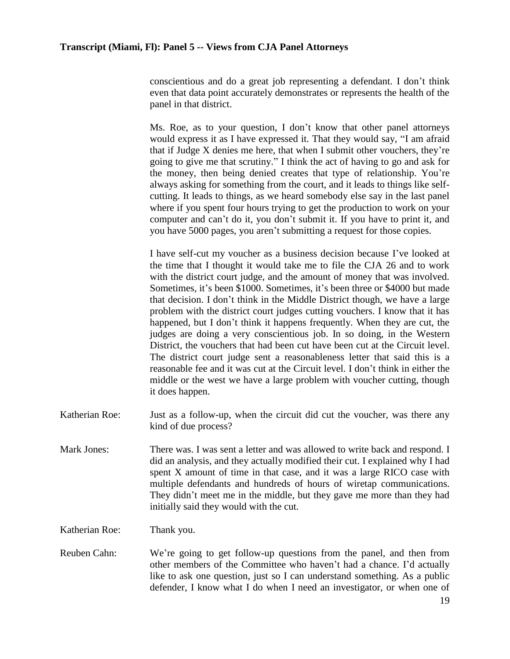conscientious and do a great job representing a defendant. I don't think even that data point accurately demonstrates or represents the health of the panel in that district.

Ms. Roe, as to your question, I don't know that other panel attorneys would express it as I have expressed it. That they would say, "I am afraid that if Judge X denies me here, that when I submit other vouchers, they're going to give me that scrutiny." I think the act of having to go and ask for the money, then being denied creates that type of relationship. You're always asking for something from the court, and it leads to things like selfcutting. It leads to things, as we heard somebody else say in the last panel where if you spent four hours trying to get the production to work on your computer and can't do it, you don't submit it. If you have to print it, and you have 5000 pages, you aren't submitting a request for those copies.

I have self-cut my voucher as a business decision because I've looked at the time that I thought it would take me to file the CJA 26 and to work with the district court judge, and the amount of money that was involved. Sometimes, it's been \$1000. Sometimes, it's been three or \$4000 but made that decision. I don't think in the Middle District though, we have a large problem with the district court judges cutting vouchers. I know that it has happened, but I don't think it happens frequently. When they are cut, the judges are doing a very conscientious job. In so doing, in the Western District, the vouchers that had been cut have been cut at the Circuit level. The district court judge sent a reasonableness letter that said this is a reasonable fee and it was cut at the Circuit level. I don't think in either the middle or the west we have a large problem with voucher cutting, though it does happen.

- Katherian Roe: Just as a follow-up, when the circuit did cut the voucher, was there any kind of due process?
- Mark Jones: There was. I was sent a letter and was allowed to write back and respond. I did an analysis, and they actually modified their cut. I explained why I had spent X amount of time in that case, and it was a large RICO case with multiple defendants and hundreds of hours of wiretap communications. They didn't meet me in the middle, but they gave me more than they had initially said they would with the cut.

Katherian Roe: Thank you.

Reuben Cahn: We're going to get follow-up questions from the panel, and then from other members of the Committee who haven't had a chance. I'd actually like to ask one question, just so I can understand something. As a public defender, I know what I do when I need an investigator, or when one of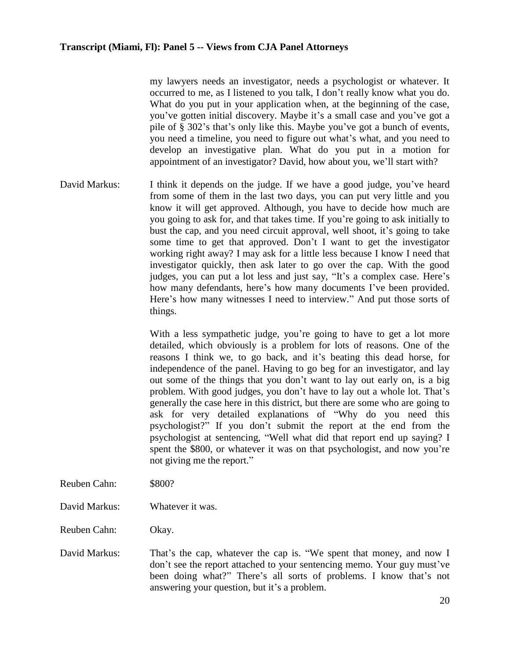my lawyers needs an investigator, needs a psychologist or whatever. It occurred to me, as I listened to you talk, I don't really know what you do. What do you put in your application when, at the beginning of the case, you've gotten initial discovery. Maybe it's a small case and you've got a pile of § 302's that's only like this. Maybe you've got a bunch of events, you need a timeline, you need to figure out what's what, and you need to develop an investigative plan. What do you put in a motion for appointment of an investigator? David, how about you, we'll start with?

David Markus: I think it depends on the judge. If we have a good judge, you've heard from some of them in the last two days, you can put very little and you know it will get approved. Although, you have to decide how much are you going to ask for, and that takes time. If you're going to ask initially to bust the cap, and you need circuit approval, well shoot, it's going to take some time to get that approved. Don't I want to get the investigator working right away? I may ask for a little less because I know I need that investigator quickly, then ask later to go over the cap. With the good judges, you can put a lot less and just say, "It's a complex case. Here's how many defendants, here's how many documents I've been provided. Here's how many witnesses I need to interview." And put those sorts of things.

> With a less sympathetic judge, you're going to have to get a lot more detailed, which obviously is a problem for lots of reasons. One of the reasons I think we, to go back, and it's beating this dead horse, for independence of the panel. Having to go beg for an investigator, and lay out some of the things that you don't want to lay out early on, is a big problem. With good judges, you don't have to lay out a whole lot. That's generally the case here in this district, but there are some who are going to ask for very detailed explanations of "Why do you need this psychologist?" If you don't submit the report at the end from the psychologist at sentencing, "Well what did that report end up saying? I spent the \$800, or whatever it was on that psychologist, and now you're not giving me the report."

- Reuben Cahn: \$800?
- David Markus: Whatever it was.
- Reuben Cahn: Okay.
- David Markus: That's the cap, whatever the cap is. "We spent that money, and now I don't see the report attached to your sentencing memo. Your guy must've been doing what?" There's all sorts of problems. I know that's not answering your question, but it's a problem.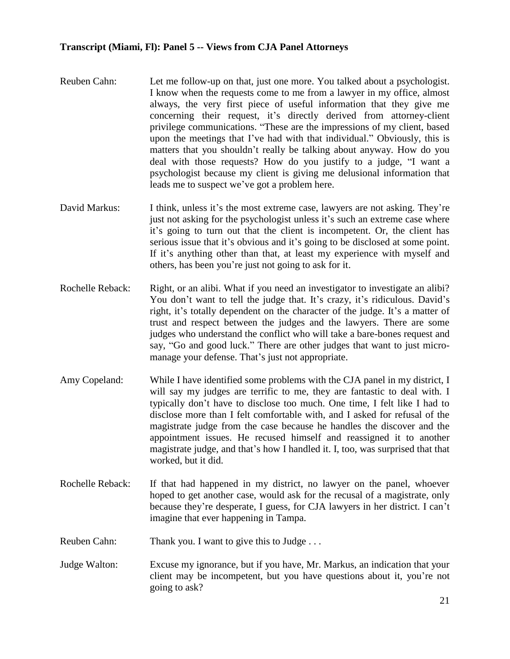- Reuben Cahn: Let me follow-up on that, just one more. You talked about a psychologist. I know when the requests come to me from a lawyer in my office, almost always, the very first piece of useful information that they give me concerning their request, it's directly derived from attorney-client privilege communications. "These are the impressions of my client, based upon the meetings that I've had with that individual." Obviously, this is matters that you shouldn't really be talking about anyway. How do you deal with those requests? How do you justify to a judge, "I want a psychologist because my client is giving me delusional information that leads me to suspect we've got a problem here.
- David Markus: I think, unless it's the most extreme case, lawyers are not asking. They're just not asking for the psychologist unless it's such an extreme case where it's going to turn out that the client is incompetent. Or, the client has serious issue that it's obvious and it's going to be disclosed at some point. If it's anything other than that, at least my experience with myself and others, has been you're just not going to ask for it.
- Rochelle Reback: Right, or an alibi. What if you need an investigator to investigate an alibi? You don't want to tell the judge that. It's crazy, it's ridiculous. David's right, it's totally dependent on the character of the judge. It's a matter of trust and respect between the judges and the lawyers. There are some judges who understand the conflict who will take a bare-bones request and say, "Go and good luck." There are other judges that want to just micromanage your defense. That's just not appropriate.
- Amy Copeland: While I have identified some problems with the CJA panel in my district, I will say my judges are terrific to me, they are fantastic to deal with. I typically don't have to disclose too much. One time, I felt like I had to disclose more than I felt comfortable with, and I asked for refusal of the magistrate judge from the case because he handles the discover and the appointment issues. He recused himself and reassigned it to another magistrate judge, and that's how I handled it. I, too, was surprised that that worked, but it did.
- Rochelle Reback: If that had happened in my district, no lawyer on the panel, whoever hoped to get another case, would ask for the recusal of a magistrate, only because they're desperate, I guess, for CJA lawyers in her district. I can't imagine that ever happening in Tampa.
- Reuben Cahn: Thank you. I want to give this to Judge . . .
- Judge Walton: Excuse my ignorance, but if you have, Mr. Markus, an indication that your client may be incompetent, but you have questions about it, you're not going to ask?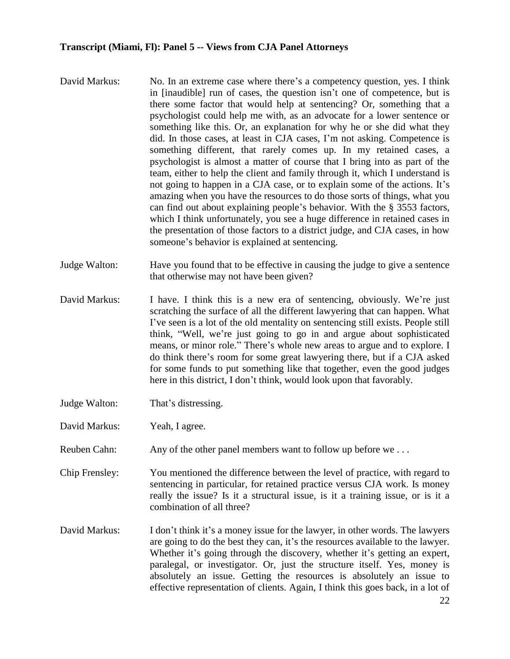- David Markus: No. In an extreme case where there's a competency question, yes. I think in [inaudible] run of cases, the question isn't one of competence, but is there some factor that would help at sentencing? Or, something that a psychologist could help me with, as an advocate for a lower sentence or something like this. Or, an explanation for why he or she did what they did. In those cases, at least in CJA cases, I'm not asking. Competence is something different, that rarely comes up. In my retained cases, a psychologist is almost a matter of course that I bring into as part of the team, either to help the client and family through it, which I understand is not going to happen in a CJA case, or to explain some of the actions. It's amazing when you have the resources to do those sorts of things, what you can find out about explaining people's behavior. With the § 3553 factors, which I think unfortunately, you see a huge difference in retained cases in the presentation of those factors to a district judge, and CJA cases, in how someone's behavior is explained at sentencing.
- Judge Walton: Have you found that to be effective in causing the judge to give a sentence that otherwise may not have been given?
- David Markus: I have. I think this is a new era of sentencing, obviously. We're just scratching the surface of all the different lawyering that can happen. What I've seen is a lot of the old mentality on sentencing still exists. People still think, "Well, we're just going to go in and argue about sophisticated means, or minor role." There's whole new areas to argue and to explore. I do think there's room for some great lawyering there, but if a CJA asked for some funds to put something like that together, even the good judges here in this district, I don't think, would look upon that favorably.
- Judge Walton: That's distressing.
- David Markus: Yeah, I agree.
- Reuben Cahn: Any of the other panel members want to follow up before we...

Chip Frensley: You mentioned the difference between the level of practice, with regard to sentencing in particular, for retained practice versus CJA work. Is money really the issue? Is it a structural issue, is it a training issue, or is it a combination of all three?

David Markus: I don't think it's a money issue for the lawyer, in other words. The lawyers are going to do the best they can, it's the resources available to the lawyer. Whether it's going through the discovery, whether it's getting an expert, paralegal, or investigator. Or, just the structure itself. Yes, money is absolutely an issue. Getting the resources is absolutely an issue to effective representation of clients. Again, I think this goes back, in a lot of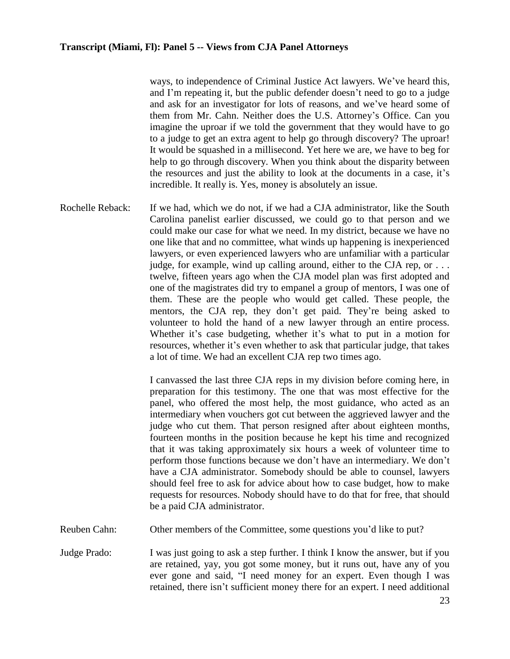ways, to independence of Criminal Justice Act lawyers. We've heard this, and I'm repeating it, but the public defender doesn't need to go to a judge and ask for an investigator for lots of reasons, and we've heard some of them from Mr. Cahn. Neither does the U.S. Attorney's Office. Can you imagine the uproar if we told the government that they would have to go to a judge to get an extra agent to help go through discovery? The uproar! It would be squashed in a millisecond. Yet here we are, we have to beg for help to go through discovery. When you think about the disparity between the resources and just the ability to look at the documents in a case, it's incredible. It really is. Yes, money is absolutely an issue.

Rochelle Reback: If we had, which we do not, if we had a CJA administrator, like the South Carolina panelist earlier discussed, we could go to that person and we could make our case for what we need. In my district, because we have no one like that and no committee, what winds up happening is inexperienced lawyers, or even experienced lawyers who are unfamiliar with a particular judge, for example, wind up calling around, either to the CJA rep, or  $\dots$ . twelve, fifteen years ago when the CJA model plan was first adopted and one of the magistrates did try to empanel a group of mentors, I was one of them. These are the people who would get called. These people, the mentors, the CJA rep, they don't get paid. They're being asked to volunteer to hold the hand of a new lawyer through an entire process. Whether it's case budgeting, whether it's what to put in a motion for resources, whether it's even whether to ask that particular judge, that takes a lot of time. We had an excellent CJA rep two times ago.

> I canvassed the last three CJA reps in my division before coming here, in preparation for this testimony. The one that was most effective for the panel, who offered the most help, the most guidance, who acted as an intermediary when vouchers got cut between the aggrieved lawyer and the judge who cut them. That person resigned after about eighteen months, fourteen months in the position because he kept his time and recognized that it was taking approximately six hours a week of volunteer time to perform those functions because we don't have an intermediary. We don't have a CJA administrator. Somebody should be able to counsel, lawyers should feel free to ask for advice about how to case budget, how to make requests for resources. Nobody should have to do that for free, that should be a paid CJA administrator.

- Reuben Cahn: Other members of the Committee, some questions you'd like to put?
- Judge Prado: I was just going to ask a step further. I think I know the answer, but if you are retained, yay, you got some money, but it runs out, have any of you ever gone and said, "I need money for an expert. Even though I was retained, there isn't sufficient money there for an expert. I need additional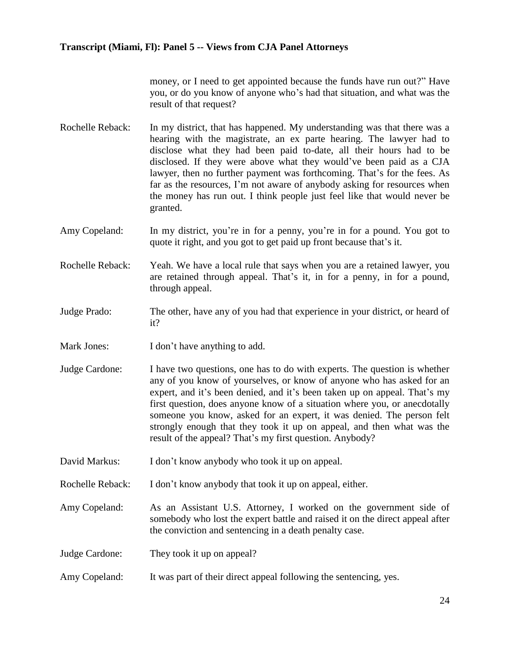money, or I need to get appointed because the funds have run out?" Have you, or do you know of anyone who's had that situation, and what was the result of that request?

- Rochelle Reback: In my district, that has happened. My understanding was that there was a hearing with the magistrate, an ex parte hearing. The lawyer had to disclose what they had been paid to-date, all their hours had to be disclosed. If they were above what they would've been paid as a CJA lawyer, then no further payment was forthcoming. That's for the fees. As far as the resources, I'm not aware of anybody asking for resources when the money has run out. I think people just feel like that would never be granted.
- Amy Copeland: In my district, you're in for a penny, you're in for a pound. You got to quote it right, and you got to get paid up front because that's it.
- Rochelle Reback: Yeah. We have a local rule that says when you are a retained lawyer, you are retained through appeal. That's it, in for a penny, in for a pound, through appeal.
- Judge Prado: The other, have any of you had that experience in your district, or heard of it?
- Mark Jones: I don't have anything to add.
- Judge Cardone: I have two questions, one has to do with experts. The question is whether any of you know of yourselves, or know of anyone who has asked for an expert, and it's been denied, and it's been taken up on appeal. That's my first question, does anyone know of a situation where you, or anecdotally someone you know, asked for an expert, it was denied. The person felt strongly enough that they took it up on appeal, and then what was the result of the appeal? That's my first question. Anybody?
- David Markus: I don't know anybody who took it up on appeal.
- Rochelle Reback: I don't know anybody that took it up on appeal, either.
- Amy Copeland: As an Assistant U.S. Attorney, I worked on the government side of somebody who lost the expert battle and raised it on the direct appeal after the conviction and sentencing in a death penalty case.
- Judge Cardone: They took it up on appeal?
- Amy Copeland: It was part of their direct appeal following the sentencing, yes.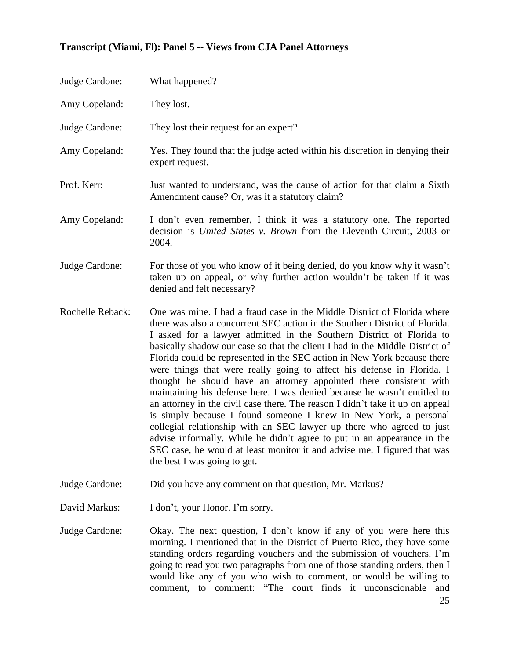| Judge Cardone:    | What happened?                                                                                                                                                                                                                                                                                                                                                                                                                                                                                                                                                                                                                                                                                                                                                                                                                                                                                                                                                                                                                               |
|-------------------|----------------------------------------------------------------------------------------------------------------------------------------------------------------------------------------------------------------------------------------------------------------------------------------------------------------------------------------------------------------------------------------------------------------------------------------------------------------------------------------------------------------------------------------------------------------------------------------------------------------------------------------------------------------------------------------------------------------------------------------------------------------------------------------------------------------------------------------------------------------------------------------------------------------------------------------------------------------------------------------------------------------------------------------------|
| Amy Copeland:     | They lost.                                                                                                                                                                                                                                                                                                                                                                                                                                                                                                                                                                                                                                                                                                                                                                                                                                                                                                                                                                                                                                   |
| Judge Cardone:    | They lost their request for an expert?                                                                                                                                                                                                                                                                                                                                                                                                                                                                                                                                                                                                                                                                                                                                                                                                                                                                                                                                                                                                       |
| Amy Copeland:     | Yes. They found that the judge acted within his discretion in denying their<br>expert request.                                                                                                                                                                                                                                                                                                                                                                                                                                                                                                                                                                                                                                                                                                                                                                                                                                                                                                                                               |
| Prof. Kerr:       | Just wanted to understand, was the cause of action for that claim a Sixth<br>Amendment cause? Or, was it a statutory claim?                                                                                                                                                                                                                                                                                                                                                                                                                                                                                                                                                                                                                                                                                                                                                                                                                                                                                                                  |
| Amy Copeland:     | I don't even remember, I think it was a statutory one. The reported<br>decision is United States v. Brown from the Eleventh Circuit, 2003 or<br>2004.                                                                                                                                                                                                                                                                                                                                                                                                                                                                                                                                                                                                                                                                                                                                                                                                                                                                                        |
| Judge Cardone:    | For those of you who know of it being denied, do you know why it wasn't<br>taken up on appeal, or why further action wouldn't be taken if it was<br>denied and felt necessary?                                                                                                                                                                                                                                                                                                                                                                                                                                                                                                                                                                                                                                                                                                                                                                                                                                                               |
| Rochelle Reback:  | One was mine. I had a fraud case in the Middle District of Florida where<br>there was also a concurrent SEC action in the Southern District of Florida.<br>I asked for a lawyer admitted in the Southern District of Florida to<br>basically shadow our case so that the client I had in the Middle District of<br>Florida could be represented in the SEC action in New York because there<br>were things that were really going to affect his defense in Florida. I<br>thought he should have an attorney appointed there consistent with<br>maintaining his defense here. I was denied because he wasn't entitled to<br>an attorney in the civil case there. The reason I didn't take it up on appeal<br>is simply because I found someone I knew in New York, a personal<br>collegial relationship with an SEC lawyer up there who agreed to just<br>advise informally. While he didn't agree to put in an appearance in the<br>SEC case, he would at least monitor it and advise me. I figured that was<br>the best I was going to get. |
| Judge Cardone:    | Did you have any comment on that question, Mr. Markus?                                                                                                                                                                                                                                                                                                                                                                                                                                                                                                                                                                                                                                                                                                                                                                                                                                                                                                                                                                                       |
| David Markus:     | I don't, your Honor. I'm sorry.                                                                                                                                                                                                                                                                                                                                                                                                                                                                                                                                                                                                                                                                                                                                                                                                                                                                                                                                                                                                              |
| Indge $C$ ardone: | $\Omega$ The next question I don't know if any of you were here this                                                                                                                                                                                                                                                                                                                                                                                                                                                                                                                                                                                                                                                                                                                                                                                                                                                                                                                                                                         |

Judge Cardone: Okay. The next question, I don't know if any of you were here this morning. I mentioned that in the District of Puerto Rico, they have some standing orders regarding vouchers and the submission of vouchers. I'm going to read you two paragraphs from one of those standing orders, then I would like any of you who wish to comment, or would be willing to comment, to comment: "The court finds it unconscionable and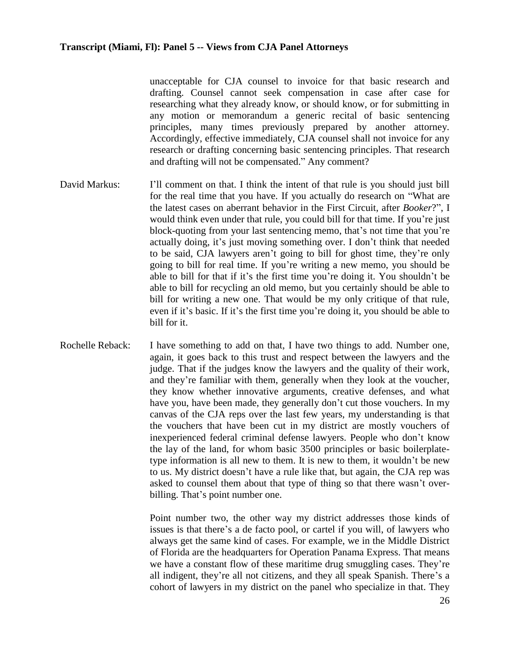unacceptable for CJA counsel to invoice for that basic research and drafting. Counsel cannot seek compensation in case after case for researching what they already know, or should know, or for submitting in any motion or memorandum a generic recital of basic sentencing principles, many times previously prepared by another attorney. Accordingly, effective immediately, CJA counsel shall not invoice for any research or drafting concerning basic sentencing principles. That research and drafting will not be compensated." Any comment?

- David Markus: I'll comment on that. I think the intent of that rule is you should just bill for the real time that you have. If you actually do research on "What are the latest cases on aberrant behavior in the First Circuit, after *Booker*?", I would think even under that rule, you could bill for that time. If you're just block-quoting from your last sentencing memo, that's not time that you're actually doing, it's just moving something over. I don't think that needed to be said, CJA lawyers aren't going to bill for ghost time, they're only going to bill for real time. If you're writing a new memo, you should be able to bill for that if it's the first time you're doing it. You shouldn't be able to bill for recycling an old memo, but you certainly should be able to bill for writing a new one. That would be my only critique of that rule, even if it's basic. If it's the first time you're doing it, you should be able to bill for it.
- Rochelle Reback: I have something to add on that, I have two things to add. Number one, again, it goes back to this trust and respect between the lawyers and the judge. That if the judges know the lawyers and the quality of their work, and they're familiar with them, generally when they look at the voucher, they know whether innovative arguments, creative defenses, and what have you, have been made, they generally don't cut those vouchers. In my canvas of the CJA reps over the last few years, my understanding is that the vouchers that have been cut in my district are mostly vouchers of inexperienced federal criminal defense lawyers. People who don't know the lay of the land, for whom basic 3500 principles or basic boilerplatetype information is all new to them. It is new to them, it wouldn't be new to us. My district doesn't have a rule like that, but again, the CJA rep was asked to counsel them about that type of thing so that there wasn't overbilling. That's point number one.

Point number two, the other way my district addresses those kinds of issues is that there's a de facto pool, or cartel if you will, of lawyers who always get the same kind of cases. For example, we in the Middle District of Florida are the headquarters for Operation Panama Express. That means we have a constant flow of these maritime drug smuggling cases. They're all indigent, they're all not citizens, and they all speak Spanish. There's a cohort of lawyers in my district on the panel who specialize in that. They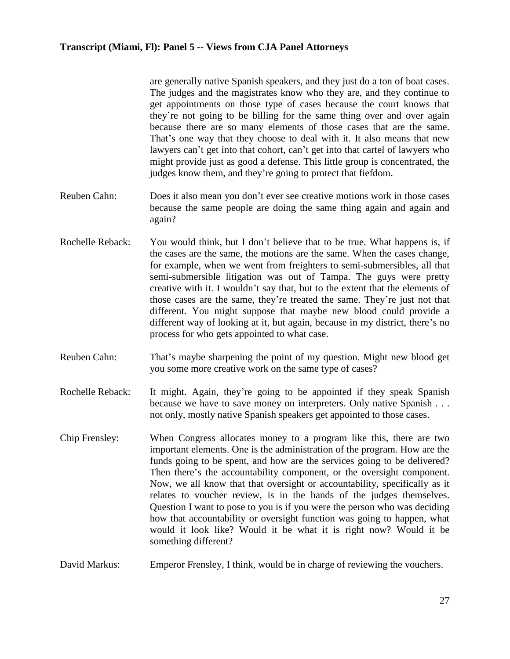are generally native Spanish speakers, and they just do a ton of boat cases. The judges and the magistrates know who they are, and they continue to get appointments on those type of cases because the court knows that they're not going to be billing for the same thing over and over again because there are so many elements of those cases that are the same. That's one way that they choose to deal with it. It also means that new lawyers can't get into that cohort, can't get into that cartel of lawyers who might provide just as good a defense. This little group is concentrated, the judges know them, and they're going to protect that fiefdom.

- Reuben Cahn: Does it also mean you don't ever see creative motions work in those cases because the same people are doing the same thing again and again and again?
- Rochelle Reback: You would think, but I don't believe that to be true. What happens is, if the cases are the same, the motions are the same. When the cases change, for example, when we went from freighters to semi-submersibles, all that semi-submersible litigation was out of Tampa. The guys were pretty creative with it. I wouldn't say that, but to the extent that the elements of those cases are the same, they're treated the same. They're just not that different. You might suppose that maybe new blood could provide a different way of looking at it, but again, because in my district, there's no process for who gets appointed to what case.
- Reuben Cahn: That's maybe sharpening the point of my question. Might new blood get you some more creative work on the same type of cases?
- Rochelle Reback: It might. Again, they're going to be appointed if they speak Spanish because we have to save money on interpreters. Only native Spanish . . . not only, mostly native Spanish speakers get appointed to those cases.
- Chip Frensley: When Congress allocates money to a program like this, there are two important elements. One is the administration of the program. How are the funds going to be spent, and how are the services going to be delivered? Then there's the accountability component, or the oversight component. Now, we all know that that oversight or accountability, specifically as it relates to voucher review, is in the hands of the judges themselves. Question I want to pose to you is if you were the person who was deciding how that accountability or oversight function was going to happen, what would it look like? Would it be what it is right now? Would it be something different?
- David Markus: Emperor Frensley, I think, would be in charge of reviewing the vouchers.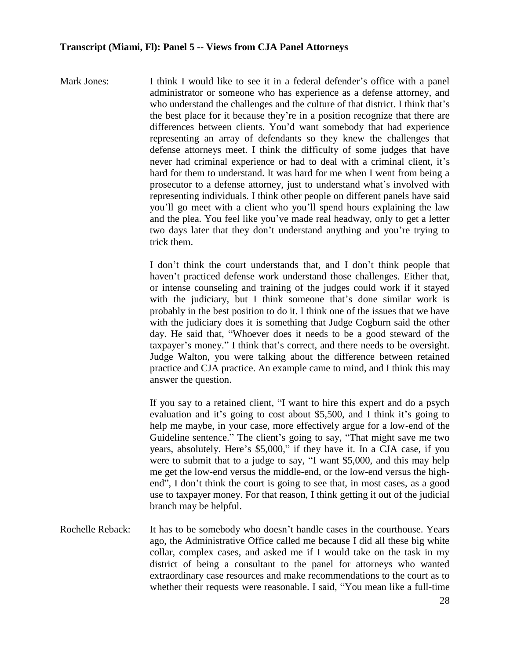Mark Jones: I think I would like to see it in a federal defender's office with a panel administrator or someone who has experience as a defense attorney, and who understand the challenges and the culture of that district. I think that's the best place for it because they're in a position recognize that there are differences between clients. You'd want somebody that had experience representing an array of defendants so they knew the challenges that defense attorneys meet. I think the difficulty of some judges that have never had criminal experience or had to deal with a criminal client, it's hard for them to understand. It was hard for me when I went from being a prosecutor to a defense attorney, just to understand what's involved with representing individuals. I think other people on different panels have said you'll go meet with a client who you'll spend hours explaining the law and the plea. You feel like you've made real headway, only to get a letter two days later that they don't understand anything and you're trying to trick them.

> I don't think the court understands that, and I don't think people that haven't practiced defense work understand those challenges. Either that, or intense counseling and training of the judges could work if it stayed with the judiciary, but I think someone that's done similar work is probably in the best position to do it. I think one of the issues that we have with the judiciary does it is something that Judge Cogburn said the other day. He said that, "Whoever does it needs to be a good steward of the taxpayer's money." I think that's correct, and there needs to be oversight. Judge Walton, you were talking about the difference between retained practice and CJA practice. An example came to mind, and I think this may answer the question.

> If you say to a retained client, "I want to hire this expert and do a psych evaluation and it's going to cost about \$5,500, and I think it's going to help me maybe, in your case, more effectively argue for a low-end of the Guideline sentence." The client's going to say, "That might save me two years, absolutely. Here's \$5,000," if they have it. In a CJA case, if you were to submit that to a judge to say, "I want \$5,000, and this may help me get the low-end versus the middle-end, or the low-end versus the highend", I don't think the court is going to see that, in most cases, as a good use to taxpayer money. For that reason, I think getting it out of the judicial branch may be helpful.

Rochelle Reback: It has to be somebody who doesn't handle cases in the courthouse. Years ago, the Administrative Office called me because I did all these big white collar, complex cases, and asked me if I would take on the task in my district of being a consultant to the panel for attorneys who wanted extraordinary case resources and make recommendations to the court as to whether their requests were reasonable. I said, "You mean like a full-time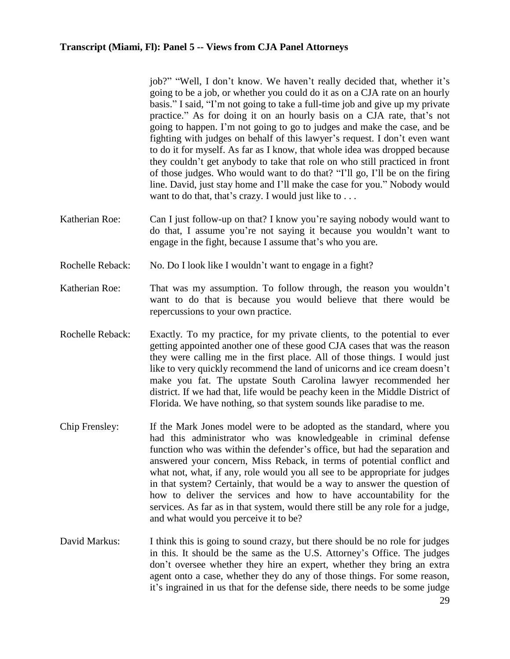job?" "Well, I don't know. We haven't really decided that, whether it's going to be a job, or whether you could do it as on a CJA rate on an hourly basis." I said, "I'm not going to take a full-time job and give up my private practice." As for doing it on an hourly basis on a CJA rate, that's not going to happen. I'm not going to go to judges and make the case, and be fighting with judges on behalf of this lawyer's request. I don't even want to do it for myself. As far as I know, that whole idea was dropped because they couldn't get anybody to take that role on who still practiced in front of those judges. Who would want to do that? "I'll go, I'll be on the firing line. David, just stay home and I'll make the case for you." Nobody would want to do that, that's crazy. I would just like to . . .

- Katherian Roe: Can I just follow-up on that? I know you're saying nobody would want to do that, I assume you're not saying it because you wouldn't want to engage in the fight, because I assume that's who you are.
- Rochelle Reback: No. Do I look like I wouldn't want to engage in a fight?
- Katherian Roe: That was my assumption. To follow through, the reason you wouldn't want to do that is because you would believe that there would be repercussions to your own practice.
- Rochelle Reback: Exactly. To my practice, for my private clients, to the potential to ever getting appointed another one of these good CJA cases that was the reason they were calling me in the first place. All of those things. I would just like to very quickly recommend the land of unicorns and ice cream doesn't make you fat. The upstate South Carolina lawyer recommended her district. If we had that, life would be peachy keen in the Middle District of Florida. We have nothing, so that system sounds like paradise to me.
- Chip Frensley: If the Mark Jones model were to be adopted as the standard, where you had this administrator who was knowledgeable in criminal defense function who was within the defender's office, but had the separation and answered your concern, Miss Reback, in terms of potential conflict and what not, what, if any, role would you all see to be appropriate for judges in that system? Certainly, that would be a way to answer the question of how to deliver the services and how to have accountability for the services. As far as in that system, would there still be any role for a judge, and what would you perceive it to be?
- David Markus: I think this is going to sound crazy, but there should be no role for judges in this. It should be the same as the U.S. Attorney's Office. The judges don't oversee whether they hire an expert, whether they bring an extra agent onto a case, whether they do any of those things. For some reason, it's ingrained in us that for the defense side, there needs to be some judge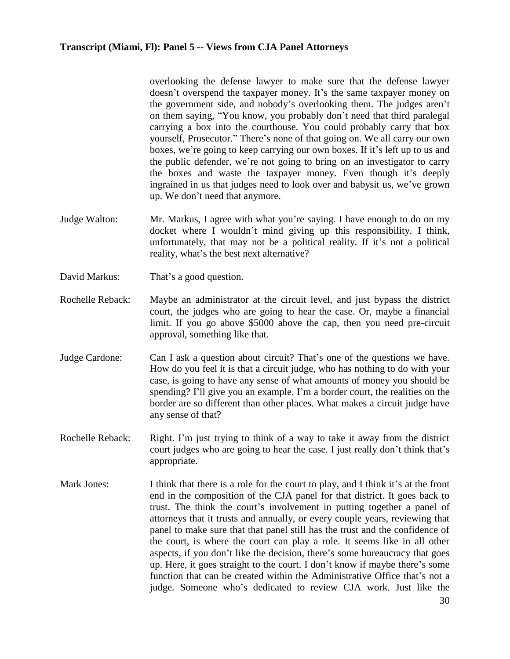overlooking the defense lawyer to make sure that the defense lawyer doesn't overspend the taxpayer money. It's the same taxpayer money on the government side, and nobody's overlooking them. The judges aren't on them saying, "You know, you probably don't need that third paralegal carrying a box into the courthouse. You could probably carry that box yourself, Prosecutor." There's none of that going on. We all carry our own boxes, we're going to keep carrying our own boxes. If it's left up to us and the public defender, we're not going to bring on an investigator to carry the boxes and waste the taxpayer money. Even though it's deeply ingrained in us that judges need to look over and babysit us, we've grown up. We don't need that anymore.

- Judge Walton: Mr. Markus, I agree with what you're saying. I have enough to do on my docket where I wouldn't mind giving up this responsibility. I think, unfortunately, that may not be a political reality. If it's not a political reality, what's the best next alternative?
- David Markus: That's a good question.
- Rochelle Reback: Maybe an administrator at the circuit level, and just bypass the district court, the judges who are going to hear the case. Or, maybe a financial limit. If you go above \$5000 above the cap, then you need pre-circuit approval, something like that.
- Judge Cardone: Can I ask a question about circuit? That's one of the questions we have. How do you feel it is that a circuit judge, who has nothing to do with your case, is going to have any sense of what amounts of money you should be spending? I'll give you an example. I'm a border court, the realities on the border are so different than other places. What makes a circuit judge have any sense of that?
- Rochelle Reback: Right. I'm just trying to think of a way to take it away from the district court judges who are going to hear the case. I just really don't think that's appropriate.
- Mark Jones: I think that there is a role for the court to play, and I think it's at the front end in the composition of the CJA panel for that district. It goes back to trust. The think the court's involvement in putting together a panel of attorneys that it trusts and annually, or every couple years, reviewing that panel to make sure that that panel still has the trust and the confidence of the court, is where the court can play a role. It seems like in all other aspects, if you don't like the decision, there's some bureaucracy that goes up. Here, it goes straight to the court. I don't know if maybe there's some function that can be created within the Administrative Office that's not a judge. Someone who's dedicated to review CJA work. Just like the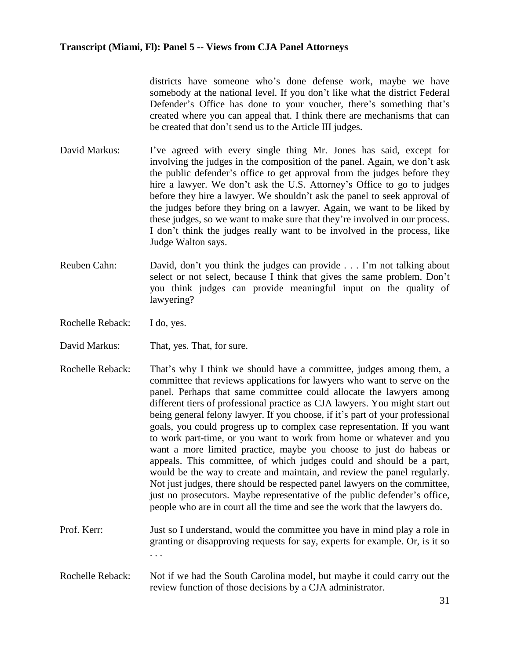districts have someone who's done defense work, maybe we have somebody at the national level. If you don't like what the district Federal Defender's Office has done to your voucher, there's something that's created where you can appeal that. I think there are mechanisms that can be created that don't send us to the Article III judges.

- David Markus: I've agreed with every single thing Mr. Jones has said, except for involving the judges in the composition of the panel. Again, we don't ask the public defender's office to get approval from the judges before they hire a lawyer. We don't ask the U.S. Attorney's Office to go to judges before they hire a lawyer. We shouldn't ask the panel to seek approval of the judges before they bring on a lawyer. Again, we want to be liked by these judges, so we want to make sure that they're involved in our process. I don't think the judges really want to be involved in the process, like Judge Walton says.
- Reuben Cahn: David, don't you think the judges can provide . . . I'm not talking about select or not select, because I think that gives the same problem. Don't you think judges can provide meaningful input on the quality of lawyering?
- Rochelle Reback: I do, yes.
- David Markus: That, yes. That, for sure.
- Rochelle Reback: That's why I think we should have a committee, judges among them, a committee that reviews applications for lawyers who want to serve on the panel. Perhaps that same committee could allocate the lawyers among different tiers of professional practice as CJA lawyers. You might start out being general felony lawyer. If you choose, if it's part of your professional goals, you could progress up to complex case representation. If you want to work part-time, or you want to work from home or whatever and you want a more limited practice, maybe you choose to just do habeas or appeals. This committee, of which judges could and should be a part, would be the way to create and maintain, and review the panel regularly. Not just judges, there should be respected panel lawyers on the committee, just no prosecutors. Maybe representative of the public defender's office, people who are in court all the time and see the work that the lawyers do.
- Prof. Kerr: Just so I understand, would the committee you have in mind play a role in granting or disapproving requests for say, experts for example. Or, is it so . . .
- Rochelle Reback: Not if we had the South Carolina model, but maybe it could carry out the review function of those decisions by a CJA administrator.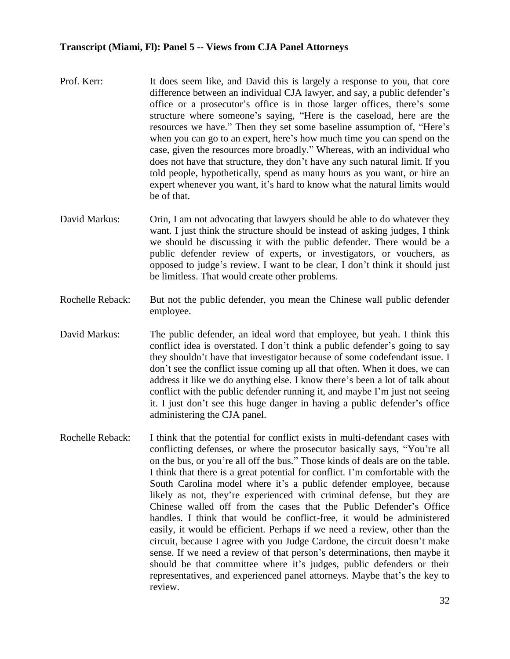- Prof. Kerr: It does seem like, and David this is largely a response to you, that core difference between an individual CJA lawyer, and say, a public defender's office or a prosecutor's office is in those larger offices, there's some structure where someone's saying, "Here is the caseload, here are the resources we have." Then they set some baseline assumption of, "Here's when you can go to an expert, here's how much time you can spend on the case, given the resources more broadly." Whereas, with an individual who does not have that structure, they don't have any such natural limit. If you told people, hypothetically, spend as many hours as you want, or hire an expert whenever you want, it's hard to know what the natural limits would be of that.
- David Markus: Orin, I am not advocating that lawyers should be able to do whatever they want. I just think the structure should be instead of asking judges. I think we should be discussing it with the public defender. There would be a public defender review of experts, or investigators, or vouchers, as opposed to judge's review. I want to be clear, I don't think it should just be limitless. That would create other problems.
- Rochelle Reback: But not the public defender, you mean the Chinese wall public defender employee.
- David Markus: The public defender, an ideal word that employee, but yeah. I think this conflict idea is overstated. I don't think a public defender's going to say they shouldn't have that investigator because of some codefendant issue. I don't see the conflict issue coming up all that often. When it does, we can address it like we do anything else. I know there's been a lot of talk about conflict with the public defender running it, and maybe I'm just not seeing it. I just don't see this huge danger in having a public defender's office administering the CJA panel.
- Rochelle Reback: I think that the potential for conflict exists in multi-defendant cases with conflicting defenses, or where the prosecutor basically says, "You're all on the bus, or you're all off the bus." Those kinds of deals are on the table. I think that there is a great potential for conflict. I'm comfortable with the South Carolina model where it's a public defender employee, because likely as not, they're experienced with criminal defense, but they are Chinese walled off from the cases that the Public Defender's Office handles. I think that would be conflict-free, it would be administered easily, it would be efficient. Perhaps if we need a review, other than the circuit, because I agree with you Judge Cardone, the circuit doesn't make sense. If we need a review of that person's determinations, then maybe it should be that committee where it's judges, public defenders or their representatives, and experienced panel attorneys. Maybe that's the key to review.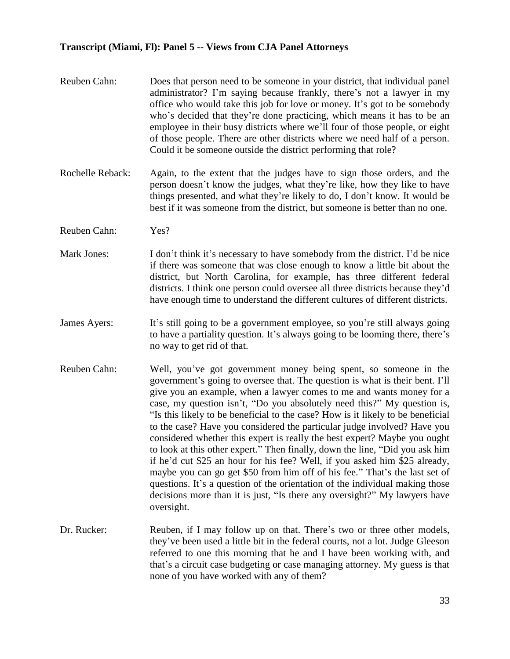- Reuben Cahn: Does that person need to be someone in your district, that individual panel administrator? I'm saying because frankly, there's not a lawyer in my office who would take this job for love or money. It's got to be somebody who's decided that they're done practicing, which means it has to be an employee in their busy districts where we'll four of those people, or eight of those people. There are other districts where we need half of a person. Could it be someone outside the district performing that role?
- Rochelle Reback: Again, to the extent that the judges have to sign those orders, and the person doesn't know the judges, what they're like, how they like to have things presented, and what they're likely to do, I don't know. It would be best if it was someone from the district, but someone is better than no one.
- Reuben Cahn: Yes?
- Mark Jones: I don't think it's necessary to have somebody from the district. I'd be nice if there was someone that was close enough to know a little bit about the district, but North Carolina, for example, has three different federal districts. I think one person could oversee all three districts because they'd have enough time to understand the different cultures of different districts.
- James Ayers: It's still going to be a government employee, so you're still always going to have a partiality question. It's always going to be looming there, there's no way to get rid of that.
- Reuben Cahn: Well, you've got government money being spent, so someone in the government's going to oversee that. The question is what is their bent. I'll give you an example, when a lawyer comes to me and wants money for a case, my question isn't, "Do you absolutely need this?" My question is, "Is this likely to be beneficial to the case? How is it likely to be beneficial to the case? Have you considered the particular judge involved? Have you considered whether this expert is really the best expert? Maybe you ought to look at this other expert." Then finally, down the line, "Did you ask him if he'd cut \$25 an hour for his fee? Well, if you asked him \$25 already, maybe you can go get \$50 from him off of his fee." That's the last set of questions. It's a question of the orientation of the individual making those decisions more than it is just, "Is there any oversight?" My lawyers have oversight.
- Dr. Rucker: Reuben, if I may follow up on that. There's two or three other models, they've been used a little bit in the federal courts, not a lot. Judge Gleeson referred to one this morning that he and I have been working with, and that's a circuit case budgeting or case managing attorney. My guess is that none of you have worked with any of them?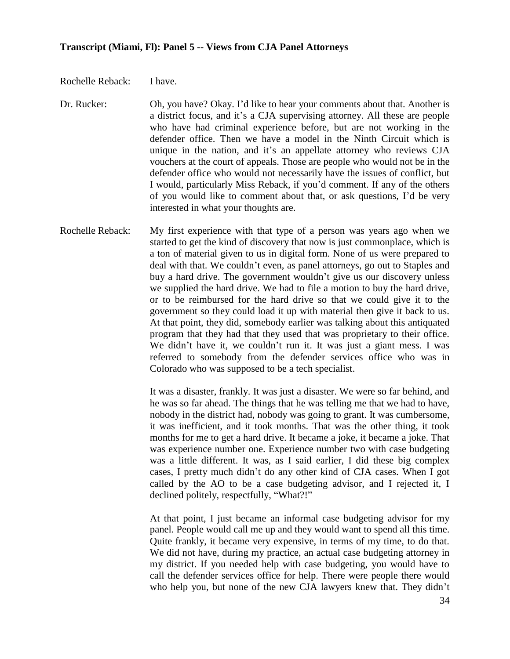Rochelle Reback: I have.

- Dr. Rucker: Oh, you have? Okay. I'd like to hear your comments about that. Another is a district focus, and it's a CJA supervising attorney. All these are people who have had criminal experience before, but are not working in the defender office. Then we have a model in the Ninth Circuit which is unique in the nation, and it's an appellate attorney who reviews CJA vouchers at the court of appeals. Those are people who would not be in the defender office who would not necessarily have the issues of conflict, but I would, particularly Miss Reback, if you'd comment. If any of the others of you would like to comment about that, or ask questions, I'd be very interested in what your thoughts are.
- Rochelle Reback: My first experience with that type of a person was years ago when we started to get the kind of discovery that now is just commonplace, which is a ton of material given to us in digital form. None of us were prepared to deal with that. We couldn't even, as panel attorneys, go out to Staples and buy a hard drive. The government wouldn't give us our discovery unless we supplied the hard drive. We had to file a motion to buy the hard drive, or to be reimbursed for the hard drive so that we could give it to the government so they could load it up with material then give it back to us. At that point, they did, somebody earlier was talking about this antiquated program that they had that they used that was proprietary to their office. We didn't have it, we couldn't run it. It was just a giant mess. I was referred to somebody from the defender services office who was in Colorado who was supposed to be a tech specialist.

It was a disaster, frankly. It was just a disaster. We were so far behind, and he was so far ahead. The things that he was telling me that we had to have, nobody in the district had, nobody was going to grant. It was cumbersome, it was inefficient, and it took months. That was the other thing, it took months for me to get a hard drive. It became a joke, it became a joke. That was experience number one. Experience number two with case budgeting was a little different. It was, as I said earlier, I did these big complex cases, I pretty much didn't do any other kind of CJA cases. When I got called by the AO to be a case budgeting advisor, and I rejected it, I declined politely, respectfully, "What?!"

At that point, I just became an informal case budgeting advisor for my panel. People would call me up and they would want to spend all this time. Quite frankly, it became very expensive, in terms of my time, to do that. We did not have, during my practice, an actual case budgeting attorney in my district. If you needed help with case budgeting, you would have to call the defender services office for help. There were people there would who help you, but none of the new CJA lawyers knew that. They didn't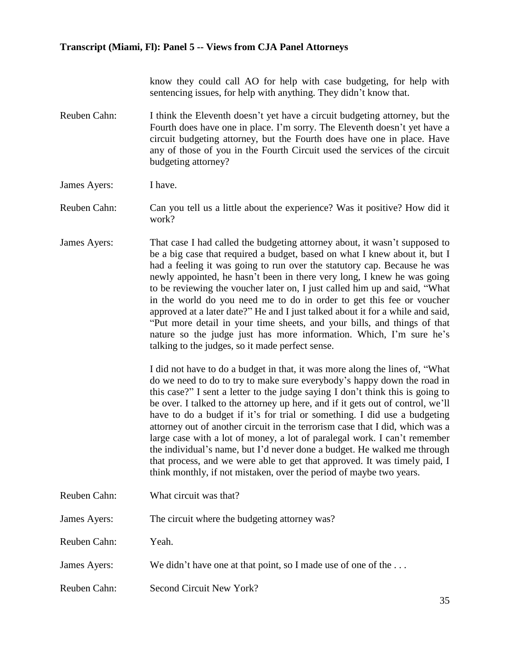know they could call AO for help with case budgeting, for help with sentencing issues, for help with anything. They didn't know that.

Reuben Cahn: I think the Eleventh doesn't yet have a circuit budgeting attorney, but the Fourth does have one in place. I'm sorry. The Eleventh doesn't yet have a circuit budgeting attorney, but the Fourth does have one in place. Have any of those of you in the Fourth Circuit used the services of the circuit budgeting attorney?

James Ayers: I have.

Reuben Cahn: Can you tell us a little about the experience? Was it positive? How did it work?

James Ayers: That case I had called the budgeting attorney about, it wasn't supposed to be a big case that required a budget, based on what I knew about it, but I had a feeling it was going to run over the statutory cap. Because he was newly appointed, he hasn't been in there very long, I knew he was going to be reviewing the voucher later on, I just called him up and said, "What in the world do you need me to do in order to get this fee or voucher approved at a later date?" He and I just talked about it for a while and said, "Put more detail in your time sheets, and your bills, and things of that nature so the judge just has more information. Which, I'm sure he's talking to the judges, so it made perfect sense.

> I did not have to do a budget in that, it was more along the lines of, "What do we need to do to try to make sure everybody's happy down the road in this case?" I sent a letter to the judge saying I don't think this is going to be over. I talked to the attorney up here, and if it gets out of control, we'll have to do a budget if it's for trial or something. I did use a budgeting attorney out of another circuit in the terrorism case that I did, which was a large case with a lot of money, a lot of paralegal work. I can't remember the individual's name, but I'd never done a budget. He walked me through that process, and we were able to get that approved. It was timely paid, I think monthly, if not mistaken, over the period of maybe two years.

- Reuben Cahn: What circuit was that?
- James Ayers: The circuit where the budgeting attorney was?

Reuben Cahn: Yeah.

- James Ayers: We didn't have one at that point, so I made use of one of the ...
- Reuben Cahn: Second Circuit New York?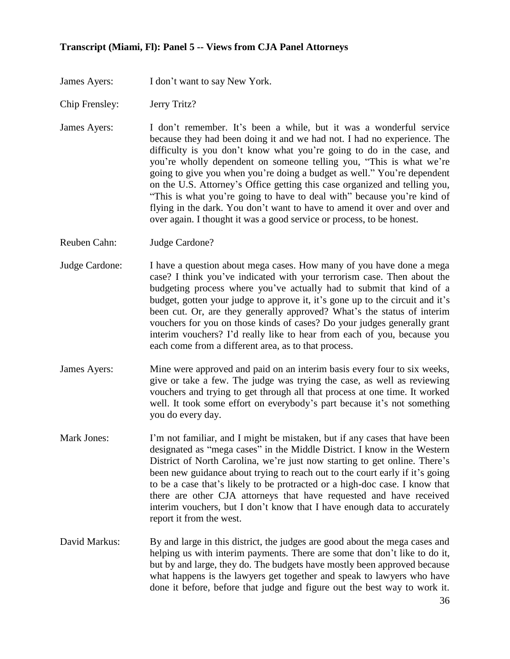James Ayers: I don't want to say New York.

- Chip Frensley: Jerry Tritz?
- James Ayers: I don't remember. It's been a while, but it was a wonderful service because they had been doing it and we had not. I had no experience. The difficulty is you don't know what you're going to do in the case, and you're wholly dependent on someone telling you, "This is what we're going to give you when you're doing a budget as well." You're dependent on the U.S. Attorney's Office getting this case organized and telling you, "This is what you're going to have to deal with" because you're kind of flying in the dark. You don't want to have to amend it over and over and over again. I thought it was a good service or process, to be honest.
- Reuben Cahn: Judge Cardone?
- Judge Cardone: I have a question about mega cases. How many of you have done a mega case? I think you've indicated with your terrorism case. Then about the budgeting process where you've actually had to submit that kind of a budget, gotten your judge to approve it, it's gone up to the circuit and it's been cut. Or, are they generally approved? What's the status of interim vouchers for you on those kinds of cases? Do your judges generally grant interim vouchers? I'd really like to hear from each of you, because you each come from a different area, as to that process.
- James Ayers: Mine were approved and paid on an interim basis every four to six weeks, give or take a few. The judge was trying the case, as well as reviewing vouchers and trying to get through all that process at one time. It worked well. It took some effort on everybody's part because it's not something you do every day.
- Mark Jones: I'm not familiar, and I might be mistaken, but if any cases that have been designated as "mega cases" in the Middle District. I know in the Western District of North Carolina, we're just now starting to get online. There's been new guidance about trying to reach out to the court early if it's going to be a case that's likely to be protracted or a high-doc case. I know that there are other CJA attorneys that have requested and have received interim vouchers, but I don't know that I have enough data to accurately report it from the west.
- David Markus: By and large in this district, the judges are good about the mega cases and helping us with interim payments. There are some that don't like to do it, but by and large, they do. The budgets have mostly been approved because what happens is the lawyers get together and speak to lawyers who have done it before, before that judge and figure out the best way to work it.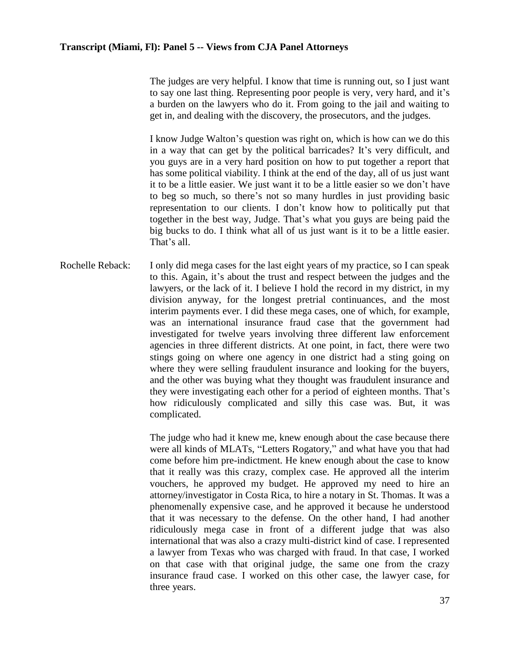The judges are very helpful. I know that time is running out, so I just want to say one last thing. Representing poor people is very, very hard, and it's a burden on the lawyers who do it. From going to the jail and waiting to get in, and dealing with the discovery, the prosecutors, and the judges.

I know Judge Walton's question was right on, which is how can we do this in a way that can get by the political barricades? It's very difficult, and you guys are in a very hard position on how to put together a report that has some political viability. I think at the end of the day, all of us just want it to be a little easier. We just want it to be a little easier so we don't have to beg so much, so there's not so many hurdles in just providing basic representation to our clients. I don't know how to politically put that together in the best way, Judge. That's what you guys are being paid the big bucks to do. I think what all of us just want is it to be a little easier. That's all.

Rochelle Reback: I only did mega cases for the last eight years of my practice, so I can speak to this. Again, it's about the trust and respect between the judges and the lawyers, or the lack of it. I believe I hold the record in my district, in my division anyway, for the longest pretrial continuances, and the most interim payments ever. I did these mega cases, one of which, for example, was an international insurance fraud case that the government had investigated for twelve years involving three different law enforcement agencies in three different districts. At one point, in fact, there were two stings going on where one agency in one district had a sting going on where they were selling fraudulent insurance and looking for the buyers, and the other was buying what they thought was fraudulent insurance and they were investigating each other for a period of eighteen months. That's how ridiculously complicated and silly this case was. But, it was complicated.

> The judge who had it knew me, knew enough about the case because there were all kinds of MLATs, "Letters Rogatory," and what have you that had come before him pre-indictment. He knew enough about the case to know that it really was this crazy, complex case. He approved all the interim vouchers, he approved my budget. He approved my need to hire an attorney/investigator in Costa Rica, to hire a notary in St. Thomas. It was a phenomenally expensive case, and he approved it because he understood that it was necessary to the defense. On the other hand, I had another ridiculously mega case in front of a different judge that was also international that was also a crazy multi-district kind of case. I represented a lawyer from Texas who was charged with fraud. In that case, I worked on that case with that original judge, the same one from the crazy insurance fraud case. I worked on this other case, the lawyer case, for three years.